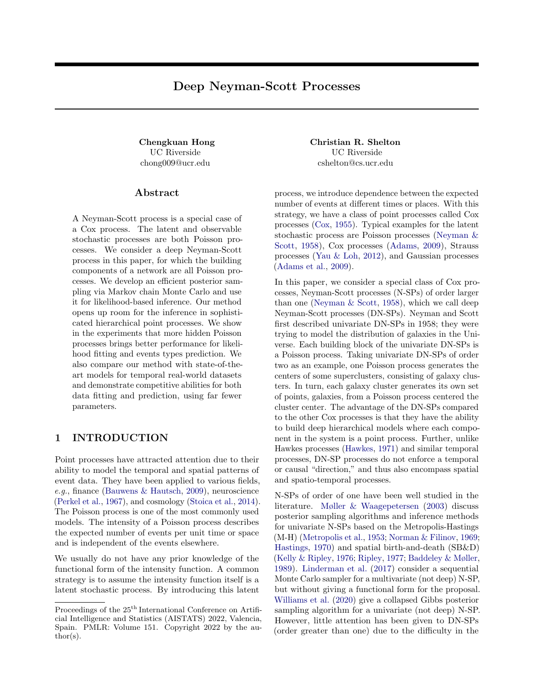# Deep Neyman-Scott Processes

UC Riverside chong009@ucr.edu

### ${\rm Abstract}$

A Neyman-Scott process is a special case of a Cox process. The latent and observable stochastic processes are both Poisson processes. We consider a deep Neyman-Scott process in this paper, for which the building components of a network are all Poisson processes. We develop an efficient posterior sampling via Markov chain Monte Carlo and use it for likelihood-based inference. Our method opens up room for the inference in sophisticated hierarchical point processes. We show in the experiments that more hidden Poisson processes brings better performance for likelihood fitting and events types prediction. We also compare our method with state-of-theart models for temporal real-world datasets and demonstrate competitive abilities for both data fitting and prediction, using far fewer parameters.

### 1 INTRODUCTION

Point processes have attracted attention due to their ability to model the temporal and spatial patterns of event data. They have been applied to various fields, e.g., finance [\(Bauwens & Hautsch,](#page-8-0) [2009\)](#page-8-0), neuroscience [\(Perkel et al.,](#page-10-0) [1967\)](#page-10-0), and cosmology [\(Stoica et al.,](#page-10-1) [2014\)](#page-10-1). The Poisson process is one of the most commonly used models. The intensity of a Poisson process describes the expected number of events per unit time or space and is independent of the events elsewhere.

We usually do not have any prior knowledge of the functional form of the intensity function. A common strategy is to assume the intensity function itself is a latent stochastic process. By introducing this latent

Chengkuan Hong Christian R. Shelton UC Riverside cshelton@cs.ucr.edu

> process, we introduce dependence between the expected number of events at different times or places. With this strategy, we have a class of point processes called Cox processes [\(Cox,](#page-8-1) [1955\)](#page-8-1). Typical examples for the latent stochastic process are Poisson processes [\(Neyman &](#page-9-0) [Scott,](#page-9-0) [1958\)](#page-9-0), Cox processes [\(Adams,](#page-8-2) [2009\)](#page-8-2), Strauss processes [\(Yau & Loh,](#page-10-2) [2012\)](#page-10-2), and Gaussian processes [\(Adams et al.,](#page-8-3) [2009\)](#page-8-3).

> In this paper, we consider a special class of Cox processes, Neyman-Scott processes (N-SPs) of order larger than one [\(Neyman & Scott,](#page-9-0) [1958\)](#page-9-0), which we call deep Neyman-Scott processes (DN-SPs). Neyman and Scott first described univariate DN-SPs in 1958; they were trying to model the distribution of galaxies in the Universe. Each building block of the univariate DN-SPs is a Poisson process. Taking univariate DN-SPs of order two as an example, one Poisson process generates the centers of some superclusters, consisting of galaxy clusters. In turn, each galaxy cluster generates its own set of points, galaxies, from a Poisson process centered the cluster center. The advantage of the DN-SPs compared to the other Cox processes is that they have the ability to build deep hierarchical models where each component in the system is a point process. Further, unlike Hawkes processes [\(Hawkes,](#page-9-1) [1971\)](#page-9-1) and similar temporal processes, DN-SP processes do not enforce a temporal or causal "direction," and thus also encompass spatial and spatio-temporal processes.

> N-SPs of order of one have been well studied in the literature. [Møller & Waagepetersen](#page-9-2) [\(2003\)](#page-9-2) discuss posterior sampling algorithms and inference methods for univariate N-SPs based on the Metropolis-Hastings (M-H) [\(Metropolis et al.,](#page-9-3) [1953;](#page-9-3) [Norman & Filinov,](#page-9-4) [1969;](#page-9-4) [Hastings,](#page-9-5) [1970\)](#page-9-5) and spatial birth-and-death (SB&D) [\(Kelly & Ripley,](#page-9-6) [1976;](#page-9-6) [Ripley,](#page-10-3) [1977;](#page-10-3) [Baddeley & Møller,](#page-8-4) [1989\)](#page-8-4). [Linderman et al.](#page-9-7) [\(2017\)](#page-9-7) consider a sequential Monte Carlo sampler for a multivariate (not deep) N-SP, but without giving a functional form for the proposal. [Williams et al.](#page-10-4) [\(2020\)](#page-10-4) give a collapsed Gibbs posterior sampling algorithm for a univariate (not deep) N-SP. However, little attention has been given to DN-SPs (order greater than one) due to the difficulty in the

Proceedings of the  $25<sup>th</sup>$  International Conference on Artificial Intelligence and Statistics (AISTATS) 2022, Valencia, Spain. PMLR: Volume 151. Copyright 2022 by the au- $\text{thor}(s)$ .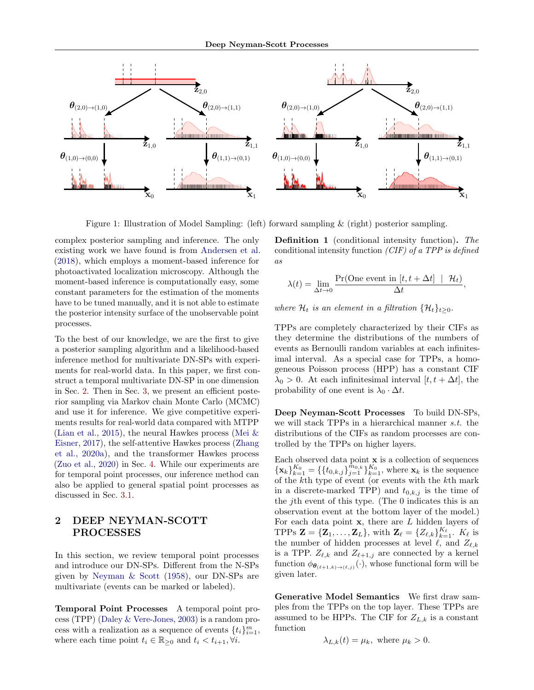<span id="page-1-1"></span>

Figure 1: Illustration of Model Sampling: (left) forward sampling & (right) posterior sampling.

complex posterior sampling and inference. The only existing work we have found is from [Andersen et al.](#page-8-5) [\(2018\)](#page-8-5), which employs a moment-based inference for photoactivated localization microscopy. Although the moment-based inference is computationally easy, some constant parameters for the estimation of the moments have to be tuned manually, and it is not able to estimate the posterior intensity surface of the unobservable point processes.

To the best of our knowledge, we are the first to give a posterior sampling algorithm and a likelihood-based inference method for multivariate DN-SPs with experiments for real-world data. In this paper, we first construct a temporal multivariate DN-SP in one dimension in Sec. [2.](#page-1-0) Then in Sec. [3,](#page-2-0) we present an efficient posterior sampling via Markov chain Monte Carlo (MCMC) and use it for inference. We give competitive experiments results for real-world data compared with MTPP [\(Lian et al.,](#page-9-8) [2015\)](#page-9-8), the neural Hawkes process (Mei  $\&$ [Eisner,](#page-9-9) [2017\)](#page-9-9), the self-attentive Hawkes process [\(Zhang](#page-10-5) [et al.,](#page-10-5) [2020a\)](#page-10-5), and the transformer Hawkes process [\(Zuo et al.,](#page-10-6) [2020\)](#page-10-6) in Sec. [4.](#page-5-0) While our experiments are for temporal point processes, our inference method can also be applied to general spatial point processes as discussed in Sec. [3.1.](#page-3-0)

### <span id="page-1-0"></span>2 DEEP NEYMAN-SCOTT PROCESSES

In this section, we review temporal point processes and introduce our DN-SPs. Different from the N-SPs given by [Neyman & Scott](#page-9-0) [\(1958\)](#page-9-0), our DN-SPs are multivariate (events can be marked or labeled).

Temporal Point Processes A temporal point process (TPP) [\(Daley & Vere-Jones,](#page-8-6) [2003\)](#page-8-6) is a random process with a realization as a sequence of events  $\{t_i\}_{i=1}^m$ , where each time point  $t_i \in \mathbb{R}_{\geq 0}$  and  $t_i < t_{i+1}, \forall i$ .

Definition 1 (conditional intensity function). The conditional intensity function  $(CIF)$  of a TPP is defined as

$$
\lambda(t) = \lim_{\Delta t \to 0} \frac{\Pr(\text{One event in } [t, t + \Delta t] \mid \mathcal{H}_t)}{\Delta t},
$$

where  $\mathcal{H}_t$  is an element in a filtration  $\{\mathcal{H}_t\}_{t>0}$ .

TPPs are completely characterized by their CIFs as they determine the distributions of the numbers of events as Bernoulli random variables at each infinitesimal interval. As a special case for TPPs, a homogeneous Poisson process (HPP) has a constant CIF  $\lambda_0 > 0$ . At each infinitesimal interval  $[t, t + \Delta t]$ , the probability of one event is  $\lambda_0 \cdot \Delta t$ .

Deep Neyman-Scott Processes To build DN-SPs, we will stack TPPs in a hierarchical manner s.t. the distributions of the CIFs as random processes are controlled by the TPPs on higher layers.

Each observed data point  $x$  is a collection of sequences  ${\mathbf \{x}_k\}_{k=1}^{K_0} = {\mathbf \{ \{t_{0,k,j}\}_{j=1}^{\tilde{m}_{0,k}}\}_{k=1}^{K_0}}$ , where  ${\mathbf x}_k$  is the sequence of the kth type of event (or events with the kth mark in a discrete-marked TPP) and  $t_{0,k,j}$  is the time of the jth event of this type. (The 0 indicates this is an observation event at the bottom layer of the model.) For each data point  $x$ , there are  $L$  hidden layers of TPPs  $\mathbf{Z} = {\mathbf{Z}_1, \ldots, \mathbf{Z}_L}$ , with  $\mathbf{Z}_{\ell} = {\{Z_{\ell,k}\}}_{k=1}^{K_{\ell}}$ .  $K_{\ell}$  is the number of hidden processes at level  $\ell$ , and  $Z_{\ell,k}$ is a TPP.  $Z_{\ell,k}$  and  $Z_{\ell+1,j}$  are connected by a kernel function  $\phi_{\theta_{(\ell+1,k)\to(\ell,j)}}(\cdot)$ , whose functional form will be given later.

Generative Model Semantics We first draw samples from the TPPs on the top layer. These TPPs are assumed to be HPPs. The CIF for  $Z_{L,k}$  is a constant function

$$
\lambda_{L,k}(t) = \mu_k, \text{ where } \mu_k > 0.
$$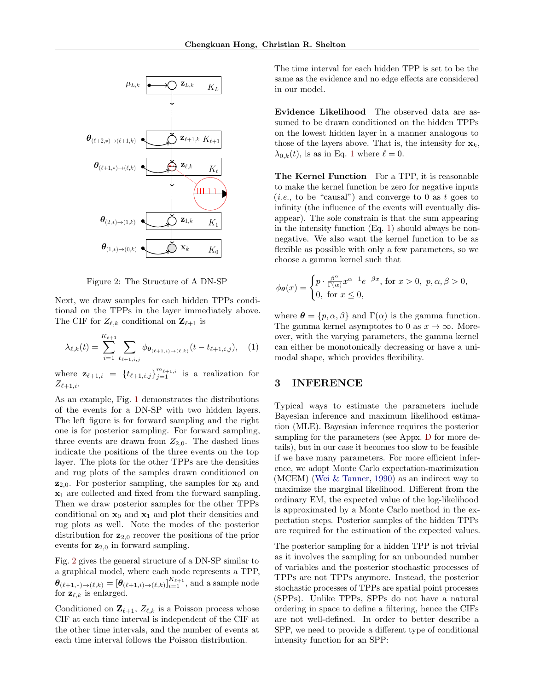<span id="page-2-1"></span>

Figure 2: The Structure of A DN-SP

.<br>.<br>. Next, we draw samples for each hidden TPPs conditional on the TPPs in the layer immediately above Next, we draw samples for each midden TPPs conditional on the TPPs in the layer immediately above. The CIF for  $Z_{\ell,k}$  conditional on  $\mathbf{Z}_{\ell+1}$  is

<span id="page-2-2"></span>
$$
\lambda_{\ell,k}(t) = \sum_{i=1}^{K_{\ell+1}} \sum_{t_{\ell+1,i,j}} \phi_{\theta_{(\ell+1,i)\to(\ell,k)}}(t - t_{\ell+1,i,j}), \quad (1)
$$

where  $\mathbf{z}_{\ell+1,i} = \{t_{\ell+1,i,j}\}_{j=1}^{m_{\ell+1,i}}$  is a realization for  $Z_{\ell+1,i}$ .

 $\begin{array}{c} \text{A} \ \text{of} \ \text{T} \ \text{or} \end{array}$  $\frac{1}{2}$  cor<br>rug dis  $\begin{array}{ccc} \n\text{and} & \text{is} \\ \n\text{rior} & \text{p} \\ \n\text{rior} & \text{a} \n\end{array}$ As an example, Fig. [1](#page-1-1) demonstrates the distributions of the events for a DN-SP with two hidden layers. The left figure is for forward sampling and the right one is for posterior sampling. For forward sampling, three events are drawn from  $Z_{2,0}$ . The dashed lines indicate the positions of the three events on the top layer. The plots for the other TPPs are the densities and rug plots of the samples drawn conditioned on  $z_{2,0}$ . For posterior sampling, the samples for  $x_0$  and  $x_1$  are collected and fixed from the forward sampling. Then we draw posterior samples for the other TPPs conditional on  $x_0$  and  $x_1$  and plot their densities and rug plots as well. Note the modes of the posterior distribution for  $z_{2,0}$  recover the positions of the prior events for  $z_{2,0}$  in forward sampling.

> Fig. [2](#page-2-1) gives the general structure of a DN-SP similar to a graphical model, where each node represents a TPP,  $\boldsymbol{\theta}_{(\ell+1,*)\to(\ell,k)} = \left[\boldsymbol{\theta}_{(\ell+1,i)\to(\ell,k)}\right]_{i=1}^{K_{\ell+1}},$  and a sample node for  $\mathbf{z}_{\ell,k}$  is enlarged.

> Conditioned on  $\mathbf{Z}_{\ell+1}$ ,  $Z_{\ell,k}$  is a Poisson process whose CIF at each time interval is independent of the CIF at the other time intervals, and the number of events at each time interval follows the Poisson distribution.

The time into same as the  $\epsilon$  in our model  $al$  for each hidden  $l$ <br>ence and no edge ef The time interval for each hidden TPP is set to be the same as the evidence and no edge effects are considered in our model.

> Evidence Likelihood The observed data are assumed to be drawn conditioned on the hidden TPPs on the lowest hidden layer in a manner analogous to those of the layers above. That is, the intensity for  $\mathbf{x}_k$ ,  $\lambda_{0,k}(t)$ , is as in Eq. [1](#page-2-2) where  $\ell = 0$ .

The to mean  $(i.e.,$ to make the kernel function be zero for negative inputs  $(i.e.,$  to be "causal") and converge to 0 as t goes to infinity (the influence of the events will eventually disappear). The sole constrain is that the sum appearing The Kernel Function For a TPP, it is reasonable to make the kernel function be zero for negative inputs infinity (the influence of the events will eventually disappear). The sole constrain is that the sum appearing in the intensity function  $(Eq. 1)$  $(Eq. 1)$  should always be nonnegative. We also want the kernel function to be as flexible as possible with only a few parameters, so we choose a gamma kernel such that

$$
\phi_{\theta}(x) = \begin{cases} p \cdot \frac{\beta^{\alpha}}{\Gamma(\alpha)} x^{\alpha-1} e^{-\beta x}, \text{ for } x > 0, \ p, \alpha, \beta > 0, \\ 0, \text{ for } x \le 0, \end{cases}
$$

where  $\boldsymbol{\theta} = \{p, \alpha, \beta\}$  and  $\Gamma(\alpha)$  is the gamma function. The gamma kernel asymptotes to 0 as  $x \to \infty$ . Moreover, with the varying parameters, the gamma kernel can either be monotonically decreasing or have a unimodal shape, which provides flexibility.

### <span id="page-2-0"></span>3 INFERENCE

ons<br>
rers. Typic<br>
ght Bayes<br>
tion ( d maximu<br>inference r<br>neters (see Typical ways to estimate the parameters include Bayesian inference and maximum likelihood estimation (MLE). Bayesian inference requires the posterior sampling for the parameters (see Appx. [D](#page-15-0) for more details), but in our case it becomes too slow to be feasible if we have many parameters. For more efficient inference, we adopt Monte Carlo expectation-maximization (MCEM) [\(Wei & Tanner,](#page-10-7) [1990\)](#page-10-7) as an indirect way to maximize the marginal likelihood. Different from the ordinary EM, the expected value of the log-likelihood is approximated by a Monte Carlo method in the expectation steps. Posterior samples of the hidden TPPs are required for the estimation of the expected values.

rior samples<br>timation of<br>g for a hidd<br>pling for an The posterior sampling for a hidden TPP is not trivial as it involves the sampling for an unbounded number of variables and the posterior stochastic processes of TPPs are not TPPs anymore. Instead, the posterior stochastic processes of TPPs are spatial point processes (SPPs). Unlike TPPs, SPPs do not have a natural ordering in space to define a filtering, hence the CIFs are not well-defined. In order to better describe a SPP, we need to provide a different type of conditional intensity function for an SPP: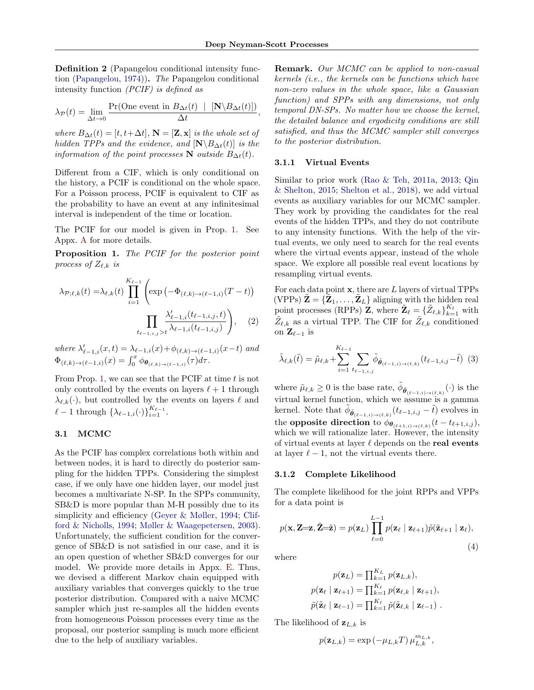,

Definition 2 (Papangelou conditional intensity function [\(Papangelou,](#page-9-10) [1974\)](#page-9-10)). The Papangelou conditional intensity function (PCIF) is defined as

$$
\lambda_{\mathcal{P}}(t) = \lim_{\Delta t \to 0} \frac{\Pr(\text{One event in } B_{\Delta t}(t) \mid [\mathbf{N} \setminus B_{\Delta t}(t)])}{\Delta t}
$$

where  $B_{\Delta t}(t) = [t, t + \Delta t]$ ,  $\mathbf{N} = [\mathbf{Z}, \mathbf{x}]$  is the whole set of hidden TPPs and the evidence, and  $[N\Bigr\setminus B_{\Delta t}(t)]$  is the information of the point processes N outside  $B_{\Delta t}(t)$ .

Different from a CIF, which is only conditional on the history, a PCIF is conditional on the whole space. For a Poisson process, PCIF is equivalent to CIF as the probability to have an event at any infinitesimal interval is independent of the time or location.

The PCIF for our model is given in Prop. [1.](#page-3-1) See Appx. [A](#page-11-0) for more details.

<span id="page-3-1"></span>Proposition 1. The PCIF for the posterior point process of  $Z_{\ell,k}$  is

$$
\lambda_{\mathcal{P};\ell,k}(t) = \lambda_{\ell,k}(t) \prod_{i=1}^{K_{\ell-1}} \left( \exp\left(-\Phi_{(\ell,k)\to(\ell-1,i)}(T-t)\right) \prod_{t_{\ell-1,i,j} > t} \frac{\lambda'_{\ell-1,i}(t_{\ell-1,i,j},t)}{\lambda_{\ell-1,i}(t_{\ell-1,i,j})} \right), \quad (2)
$$

where  $\lambda'_{\ell-1,i}(x,t) = \lambda_{\ell-1,i}(x) + \phi_{(\ell,k)\to(\ell-1,i)}(x-t)$  and  $\Phi_{(\ell,k)\to(\ell-1,i)}(x) = \int_0^x \phi_{\theta_{(\ell,k)\to(\ell-1,i)}}(\tau) d\tau.$ 

From Prop. [1,](#page-3-1) we can see that the PCIF at time  $t$  is not only controlled by the events on layers  $\ell + 1$  through  $\lambda_{\ell,k}(\cdot)$ , but controlled by the events on layers  $\ell$  and  $\ell-1$  through  $\{\lambda_{\ell-1,i}(\cdot)\}_{i=1}^{K_{\ell-1}}$ .

#### <span id="page-3-0"></span>3.1 MCMC

As the PCIF has complex correlations both within and between nodes, it is hard to directly do posterior sampling for the hidden TPPs. Considering the simplest case, if we only have one hidden layer, our model just becomes a multivariate N-SP. In the SPPs community, SB&D is more popular than M-H possibly due to its simplicity and efficiency [\(Geyer & Møller,](#page-8-7) [1994;](#page-8-7) [Clif](#page-8-8)[ford & Nicholls,](#page-8-8) [1994;](#page-8-8) [Møller & Waagepetersen,](#page-9-2) [2003\)](#page-9-2). Unfortunately, the sufficient condition for the convergence of SB&D is not satisfied in our case, and it is an open question of whether SB&D converges for our model. We provide more details in Appx. [E.](#page-15-1) Thus, we devised a different Markov chain equipped with auxiliary variables that converges quickly to the true posterior distribution. Compared with a naive MCMC sampler which just re-samples all the hidden events from homogeneous Poisson processes every time as the proposal, our posterior sampling is much more efficient due to the help of auxiliary variables.

Remark. Our MCMC can be applied to non-casual kernels (i.e., the kernels can be functions which have non-zero values in the whole space, like a Gaussian function) and SPPs with any dimensions, not only temporal DN-SPs. No matter how we choose the kernel, the detailed balance and ergodicity conditions are still satisfied, and thus the MCMC sampler still converges to the posterior distribution.

#### 3.1.1 Virtual Events

Similar to prior work [\(Rao & Teh,](#page-10-8) [2011a,](#page-10-8) [2013;](#page-10-9) [Qin](#page-10-10) [& Shelton,](#page-10-10) [2015;](#page-10-10) [Shelton et al.,](#page-10-11) [2018\)](#page-10-11), we add virtual events as auxiliary variables for our MCMC sampler. They work by providing the candidates for the real events of the hidden TPPs, and they do not contribute to any intensity functions. With the help of the virtual events, we only need to search for the real events where the virtual events appear, instead of the whole space. We explore all possible real event locations by resampling virtual events.

<span id="page-3-4"></span>For each data point  $x$ , there are  $L$  layers of virtual TPPs (VPPs)  $\tilde{\mathbf{Z}} = {\tilde{Z}_1, \ldots, \tilde{Z}_L}$  aligning with the hidden real point processes (RPPs)  $\mathbf{Z}$ , where  $\mathbf{Z}_{\ell} = \{\tilde{Z}_{\ell,k}\}_{k=1}^{K_{\ell}}$  with  $\tilde{Z}_{\ell,k}$  as a virtual TPP. The CIF for  $\tilde{Z}_{\ell,k}$  conditioned on  $\mathbf{Z}_{\ell-1}$  is

<span id="page-3-3"></span>
$$
\tilde{\lambda}_{\ell,k}(\tilde{t}) = \tilde{\mu}_{\ell,k} + \sum_{i=1}^{K_{\ell-1}} \sum_{t_{\ell-1,i,j}} \tilde{\phi}_{\tilde{\theta}_{(\ell-1,i)\to(\ell,k)}}(t_{\ell-1,i,j} - \tilde{t}) \tag{3}
$$

where  $\tilde{\mu}_{\ell,k} \geq 0$  is the base rate,  $\tilde{\phi}_{\tilde{\theta}_{(\ell-1,i)\to(\ell,k)}}(\cdot)$  is the virtual kernel function, which we assume is a gamma kernel. Note that  $\tilde{\phi}_{\tilde{\theta}_{(\ell-1,i)\to(\ell,k)}}(t_{\ell-1,i,j}-\tilde{t})$  evolves in the opposite direction to  $\phi_{\theta_{(\ell+1,i)\to(\ell,k)}}(t-t_{\ell+1,i,j}),$ which we will rationalize later. However, the intensity of virtual events at layer  $\ell$  depends on the real events at layer  $\ell - 1$ , not the virtual events there.

#### 3.1.2 Complete Likelihood

The complete likelihood for the joint RPPs and VPPs for a data point is

<span id="page-3-2"></span>
$$
p(\mathbf{x}, \mathbf{Z} = \mathbf{z}, \tilde{\mathbf{Z}} = \tilde{\mathbf{z}}) = p(\mathbf{z}_L) \prod_{\ell=0}^{L-1} p(\mathbf{z}_{\ell} | \mathbf{z}_{\ell+1}) \tilde{p}(\tilde{\mathbf{z}}_{\ell+1} | \mathbf{z}_{\ell}),
$$
\n(4)

where

$$
p(\mathbf{z}_L) = \prod_{k=1}^{K_L} p(\mathbf{z}_{L,k}),
$$
  
\n
$$
p(\mathbf{z}_{\ell} | \mathbf{z}_{\ell+1}) = \prod_{k=1}^{K_{\ell}} p(\mathbf{z}_{\ell,k} | \mathbf{z}_{\ell+1}),
$$
  
\n
$$
\tilde{p}(\tilde{\mathbf{z}}_{\ell} | \mathbf{z}_{\ell-1}) = \prod_{k=1}^{K_{\ell}} \tilde{p}(\tilde{\mathbf{z}}_{\ell,k} | \mathbf{z}_{\ell-1}).
$$

The likelihood of  $z_{L,k}$  is

$$
p(\mathbf{z}_{L,k}) = \exp(-\mu_{L,k}T)\,\mu_{L,k}^{m_{L,k}},
$$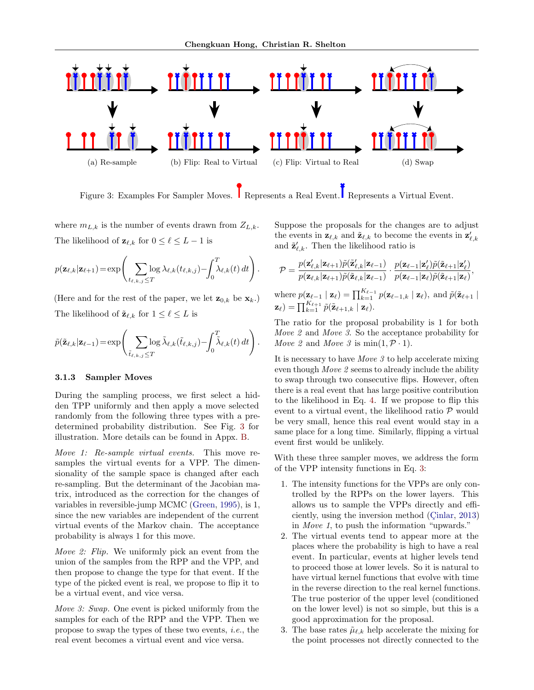<span id="page-4-0"></span>

Figure 3: Examples For Sampler Moves. Represents a Real Event. Represents a Virtual Event.

where  $m_{L,k}$  is the number of events drawn from  $Z_{L,k}$ . The likelihood of  $\mathbf{z}_{\ell,k}$  for  $0 \leq \ell \leq L-1$  is

$$
p(\mathbf{z}_{\ell,k}|\mathbf{z}_{\ell+1}) = \exp\left(\sum_{t_{\ell,k,j}\leq T} \log \lambda_{\ell,k}(t_{\ell,k,j}) - \int_0^T \lambda_{\ell,k}(t) dt\right).
$$

(Here and for the rest of the paper, we let  $\mathbf{z}_{0,k}$  be  $\mathbf{x}_k$ .) The likelihood of  $\tilde{\mathbf{z}}_{\ell,k}$  for  $1 \leq \ell \leq L$  is

$$
\tilde{p}(\tilde{\mathbf{z}}_{\ell,k}|\mathbf{z}_{\ell-1}) = \exp\left(\sum_{\tilde{t}_{\ell,k,j}\leq T} \log \tilde{\lambda}_{\ell,k}(\tilde{t}_{\ell,k,j}) - \int_0^T \tilde{\lambda}_{\ell,k}(t) dt\right).
$$

### 3.1.3 Sampler Moves

During the sampling process, we first select a hidden TPP uniformly and then apply a move selected randomly from the following three types with a predetermined probability distribution. See Fig. [3](#page-4-0) for illustration. More details can be found in Appx. [B.](#page-11-1)

Move 1: Re-sample virtual events. This move resamples the virtual events for a VPP. The dimensionality of the sample space is changed after each re-sampling. But the determinant of the Jacobian matrix, introduced as the correction for the changes of variables in reversible-jump MCMC [\(Green,](#page-9-11) [1995\)](#page-9-11), is 1, since the new variables are independent of the current virtual events of the Markov chain. The acceptance probability is always 1 for this move.

Move 2: Flip. We uniformly pick an event from the union of the samples from the RPP and the VPP, and then propose to change the type for that event. If the type of the picked event is real, we propose to flip it to be a virtual event, and vice versa.

Move 3: Swap. One event is picked uniformly from the samples for each of the RPP and the VPP. Then we propose to swap the types of these two events, i.e., the real event becomes a virtual event and vice versa.

Suppose the proposals for the changes are to adjust the events in  $\mathbf{z}_{\ell,k}$  and  $\tilde{\mathbf{z}}_{\ell,k}$  to become the events in  $\mathbf{z}'_{\ell,k}$ and  $\tilde{\mathbf{z}}'_{\ell,k}$ . Then the likelihood ratio is

$$
\mathcal{P} = \frac{p(\mathbf{z}'_{\ell,k}|\mathbf{z}_{\ell+1})\tilde{p}(\tilde{\mathbf{z}}'_{\ell,k}|\mathbf{z}_{\ell-1})}{p(\mathbf{z}_{\ell,k}|\mathbf{z}_{\ell+1})\tilde{p}(\tilde{\mathbf{z}}_{\ell,k}|\mathbf{z}_{\ell-1})} \cdot \frac{p(\mathbf{z}_{\ell-1}|\mathbf{z}'_{\ell})\tilde{p}(\tilde{\mathbf{z}}_{\ell+1}|\mathbf{z}_{\ell})}{p(\mathbf{z}_{\ell-1}|\mathbf{z}_{\ell})\tilde{p}(\tilde{\mathbf{z}}_{\ell+1}|\mathbf{z}_{\ell})},
$$
\nwhere  $p(\mathbf{z}_{\ell-1} | \mathbf{z}_{\ell}) = \prod_{k=1}^{K_{\ell-1}} p(\mathbf{z}_{\ell-1,k} | \mathbf{z}_{\ell}),$  and  $\tilde{p}(\tilde{\mathbf{z}}_{\ell+1} | \mathbf{z}_{\ell}) = \prod_{k=1}^{K_{\ell+1}} \tilde{p}(\tilde{\mathbf{z}}_{\ell+1,k} | \mathbf{z}_{\ell}).$ 

The ratio for the proposal probability is 1 for both Move 2 and Move 3. So the acceptance probability for Move 2 and Move 3 is min $(1, \mathcal{P} \cdot 1)$ .

It is necessary to have Move 3 to help accelerate mixing even though Move 2 seems to already include the ability to swap through two consecutive flips. However, often there is a real event that has large positive contribution to the likelihood in Eq. [4.](#page-3-2) If we propose to flip this event to a virtual event, the likelihood ratio  $P$  would be very small, hence this real event would stay in a same place for a long time. Similarly, flipping a virtual event first would be unlikely.

With these three sampler moves, we address the form of the VPP intensity functions in Eq. [3:](#page-3-3)

- 1. The intensity functions for the VPPs are only controlled by the RPPs on the lower layers. This allows us to sample the VPPs directly and efficiently, using the inversion method  $(Cinlar, 2013)$  $(Cinlar, 2013)$  $(Cinlar, 2013)$  $(Cinlar, 2013)$ in Move 1, to push the information "upwards."
- 2. The virtual events tend to appear more at the places where the probability is high to have a real event. In particular, events at higher levels tend to proceed those at lower levels. So it is natural to have virtual kernel functions that evolve with time in the reverse direction to the real kernel functions. The true posterior of the upper level (conditioned on the lower level) is not so simple, but this is a good approximation for the proposal.
- 3. The base rates  $\tilde{\mu}_{\ell,k}$  help accelerate the mixing for the point processes not directly connected to the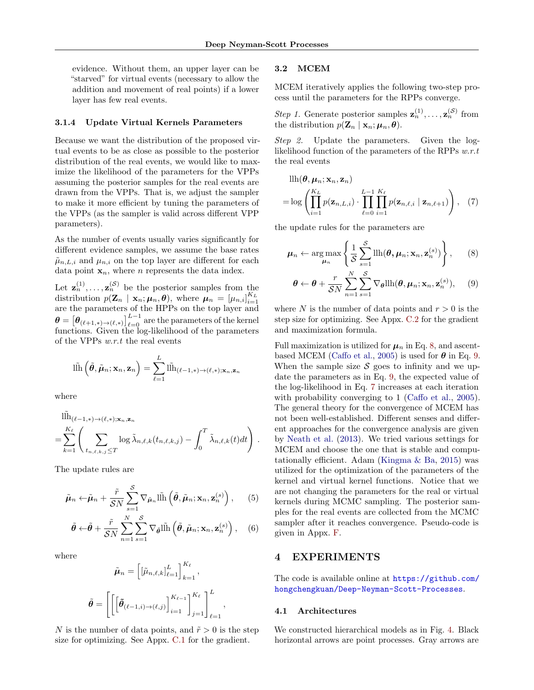evidence. Without them, an upper layer can be "starved" for virtual events (necessary to allow the addition and movement of real points) if a lower layer has few real events.

### 3.1.4 Update Virtual Kernels Parameters

Because we want the distribution of the proposed virtual events to be as close as possible to the posterior distribution of the real events, we would like to maximize the likelihood of the parameters for the VPPs assuming the posterior samples for the real events are drawn from the VPPs. That is, we adjust the sampler to make it more efficient by tuning the parameters of the VPPs (as the sampler is valid across different VPP parameters).

As the number of events usually varies significantly for different evidence samples, we assume the base rates  $\tilde{\mu}_{n,L,i}$  and  $\mu_{n,i}$  on the top layer are different for each data point  $\mathbf{x}_n$ , where *n* represents the data index.

Let  $\mathbf{z}_n^{(1)}, \ldots, \mathbf{z}_n^{(\mathcal{S})}$  be the posterior samples from the distribution  $p(\mathbf{Z}_n | \mathbf{x}_n; \mu_n, \boldsymbol{\theta})$ , where  $\mu_n = [\mu_{n,i}]_{i=1}^{K_L}$ are the parameters of the HPPs on the top layer and  $\boldsymbol{\theta} = \left[\boldsymbol{\theta}_{(\ell+1,*)\to(\ell,*)}\right]_{\ell=0}^{L-1} \text{ are the parameters of the kernel}$ functions. Given the log-likelihood of the parameters of the VPPs w.r.t the real events

$$
\|\tilde{\mathbf{h}}\left(\tilde{\boldsymbol{\theta}},\tilde{\boldsymbol{\mu}}_n;\mathbf{x}_n,\mathbf{z}_n\right)=\sum_{\ell=1}^L\|\tilde{\mathbf{h}}_{(\ell-1,*)\to(\ell,*);\mathbf{x}_n,\mathbf{z}_n}
$$

where

$$
\begin{split} & \|\tilde{\mathbf{h}}_{(\ell-1,*)\to(\ell,*);\mathbf{x}_n,\mathbf{z}_n} \\ &= \sum_{k=1}^{K_{\ell}} \left( \sum_{t_{n,\ell,k,j} \leq T} \log \tilde{\lambda}_{n,\ell,k}(t_{n,\ell,k,j}) - \int_0^T \tilde{\lambda}_{n,\ell,k}(t)dt \right) \,. \end{split}
$$

The update rules are

$$
\tilde{\boldsymbol{\mu}}_n \leftarrow \tilde{\boldsymbol{\mu}}_n + \frac{\tilde{r}}{\mathcal{S}N} \sum_{s=1}^{\mathcal{S}} \nabla_{\tilde{\boldsymbol{\mu}}_n} \tilde{\ln} \left( \tilde{\boldsymbol{\theta}}, \tilde{\boldsymbol{\mu}}_n; \mathbf{x}_n, \mathbf{z}_n^{(s)} \right), \qquad (5)
$$

$$
\tilde{\boldsymbol{\theta}} \leftarrow \tilde{\boldsymbol{\theta}} + \frac{\tilde{r}}{\mathcal{S}N} \sum_{n=1}^{N} \sum_{s=1}^{S} \nabla_{\tilde{\boldsymbol{\theta}}} \mathbf{l} \tilde{\mathbf{h}} \left( \tilde{\boldsymbol{\theta}}, \tilde{\boldsymbol{\mu}}_n; \mathbf{x}_n, \mathbf{z}_n^{(s)} \right), \quad (6)
$$

where

$$
\tilde{\mu}_n = \left[ [\tilde{\mu}_{n,\ell,k}]_{\ell=1}^L \right]_{k=1}^{K_{\ell}},
$$

$$
\tilde{\theta} = \left[ \left[ \left[ \tilde{\theta}_{(\ell-1,i) \to (\ell,j)} \right]_{i=1}^{K_{\ell-1}} \right]_{j=1}^{K_{\ell}} \right]_{\ell=1}^L,
$$

h

N is the number of data points, and  $\tilde{r} > 0$  is the step size for optimizing. See Appx. [C.1](#page-13-0) for the gradient.

### 3.2 MCEM

MCEM iteratively applies the following two-step process until the parameters for the RPPs converge.

Step 1. Generate posterior samples  $\mathbf{z}_n^{(1)}, \ldots, \mathbf{z}_n^{(S)}$  from the distribution  $p(\mathbf{Z}_n | \mathbf{x}_n; \boldsymbol{\mu}_n, \boldsymbol{\theta})$ .

Step 2. Update the parameters. Given the loglikelihood function of the parameters of the RPPs w.r.t the real events

<span id="page-5-3"></span>
$$
\begin{aligned} &\text{llh}(\boldsymbol{\theta}, \boldsymbol{\mu}_n; \mathbf{x}_n, \mathbf{z}_n) \\ &= \log \left( \prod_{i=1}^{K_L} p(\mathbf{z}_{n,L,i}) \cdot \prod_{\ell=0}^{L-1} \prod_{i=1}^{K_\ell} p(\mathbf{z}_{n,\ell,i} \mid \mathbf{z}_{n,\ell+1}) \right), \quad (7) \end{aligned}
$$

the update rules for the parameters are

$$
\boldsymbol{\mu}_n \leftarrow \argmax_{\boldsymbol{\mu}_n} \left\{ \frac{1}{\mathcal{S}} \sum_{s=1}^{\mathcal{S}} \text{llh}(\boldsymbol{\theta}, \boldsymbol{\mu}_n; \mathbf{x}_n, \mathbf{z}_n^{(s)}) \right\}, \qquad (8)
$$

<span id="page-5-2"></span><span id="page-5-1"></span>
$$
\boldsymbol{\theta} \leftarrow \boldsymbol{\theta} + \frac{r}{\mathcal{S}N} \sum_{n=1}^{N} \sum_{s=1}^{S} \nabla_{\boldsymbol{\theta}} \text{llh}(\boldsymbol{\theta}, \boldsymbol{\mu}_n; \mathbf{x}_n, \mathbf{z}_n^{(s)}), \quad (9)
$$

where N is the number of data points and  $r > 0$  is the step size for optimizing. See Appx. [C.2](#page-15-2) for the gradient and maximization formula.

Full maximization is utilized for  $\mu_n$  in Eq. [8,](#page-5-1) and ascent-based MCEM [\(Caffo et al.,](#page-8-10) [2005\)](#page-8-10) is used for  $\theta$  in Eq. [9.](#page-5-2) When the sample size  $S$  goes to infinity and we update the parameters as in Eq. [9,](#page-5-2) the expected value of the log-likelihood in Eq. [7](#page-5-3) increases at each iteration with probability converging to 1 [\(Caffo et al.,](#page-8-10) [2005\)](#page-8-10). The general theory for the convergence of MCEM has not been well-established. Different senses and different approaches for the convergence analysis are given by [Neath et al.](#page-9-12) [\(2013\)](#page-9-12). We tried various settings for MCEM and choose the one that is stable and computationally efficient. Adam [\(Kingma & Ba,](#page-9-13) [2015\)](#page-9-13) was utilized for the optimization of the parameters of the kernel and virtual kernel functions. Notice that we are not changing the parameters for the real or virtual kernels during MCMC sampling. The posterior samples for the real events are collected from the MCMC sampler after it reaches convergence. Pseudo-code is given in Appx. [F.](#page-17-0)

### <span id="page-5-5"></span><span id="page-5-4"></span><span id="page-5-0"></span>4 EXPERIMENTS

The code is available online at [https://github.com/](https://github.com/hongchengkuan/Deep-Neyman-Scott-Processes) [hongchengkuan/Deep-Neyman-Scott-Processes](https://github.com/hongchengkuan/Deep-Neyman-Scott-Processes).

#### 4.1 Architectures

We constructed hierarchical models as in Fig. [4.](#page-6-0) Black horizontal arrows are point processes. Gray arrows are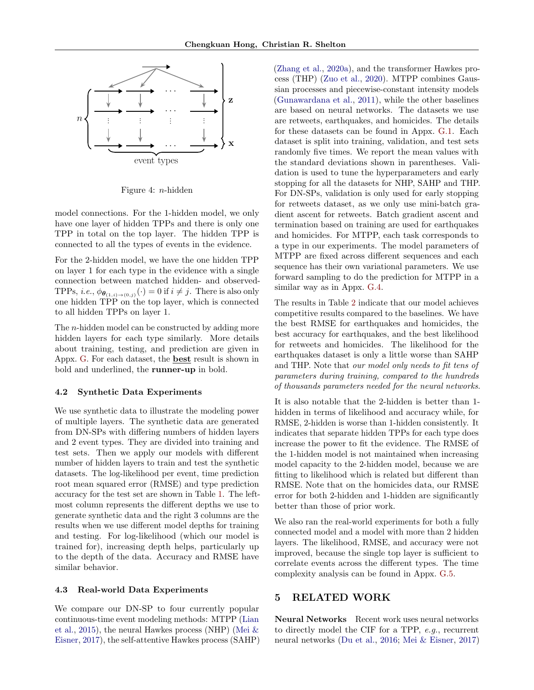<span id="page-6-0"></span>

Figure 4: n-hidden

model connections. For the 1-hidden model, we only have one layer of hidden TPPs and there is only one TPP in total on the top layer. The hidden TPP is connected to all the types of events in the evidence.

For the 2-hidden model, we have the one hidden TPP on layer 1 for each type in the evidence with a single connection between matched hidden- and observed-TPPs, *i.e.*,  $\phi_{\theta_{(1,i)\to(0,j)}}(\cdot) = 0$  if  $i \neq j$ . There is also only one hidden TPP on the top layer, which is connected to all hidden TPPs on layer 1.

The n-hidden model can be constructed by adding more hidden layers for each type similarly. More details about training, testing, and prediction are given in Appx. [G.](#page-17-1) For each dataset, the **best** result is shown in bold and underlined, the runner-up in bold.

#### 4.2 Synthetic Data Experiments

We use synthetic data to illustrate the modeling power of multiple layers. The synthetic data are generated from DN-SPs with differing numbers of hidden layers and 2 event types. They are divided into training and test sets. Then we apply our models with different number of hidden layers to train and test the synthetic datasets. The log-likelihood per event, time prediction root mean squared error (RMSE) and type prediction accuracy for the test set are shown in Table [1.](#page-7-0) The leftmost column represents the different depths we use to generate synthetic data and the right 3 columns are the results when we use different model depths for training and testing. For log-likelihood (which our model is trained for), increasing depth helps, particularly up to the depth of the data. Accuracy and RMSE have similar behavior.

### 4.3 Real-world Data Experiments

We compare our DN-SP to four currently popular continuous-time event modeling methods: MTPP [\(Lian](#page-9-8) [et al.,](#page-9-8) [2015\)](#page-9-8), the neural Hawkes process (NHP) [\(Mei &](#page-9-9) [Eisner,](#page-9-9) [2017\)](#page-9-9), the self-attentive Hawkes process (SAHP) [\(Zhang et al.,](#page-10-5) [2020a\)](#page-10-5), and the transformer Hawkes process (THP) [\(Zuo et al.,](#page-10-6) [2020\)](#page-10-6). MTPP combines Gaussian processes and piecewise-constant intensity models [\(Gunawardana et al.,](#page-9-14) [2011\)](#page-9-14), while the other baselines are based on neural networks. The datasets we use are retweets, earthquakes, and homicides. The details for these datasets can be found in Appx. [G.1.](#page-17-2) Each dataset is split into training, validation, and test sets randomly five times. We report the mean values with the standard deviations shown in parentheses. Validation is used to tune the hyperparameters and early stopping for all the datasets for NHP, SAHP and THP. For DN-SPs, validation is only used for early stopping for retweets dataset, as we only use mini-batch gradient ascent for retweets. Batch gradient ascent and termination based on training are used for earthquakes and homicides. For MTPP, each task corresponds to a type in our experiments. The model parameters of MTPP are fixed across different sequences and each sequence has their own variational parameters. We use forward sampling to do the prediction for MTPP in a similar way as in Appx. [G.4.](#page-18-0)

The results in Table [2](#page-7-1) indicate that our model achieves competitive results compared to the baselines. We have the best RMSE for earthquakes and homicides, the best accuracy for earthquakes, and the best likelihood for retweets and homicides. The likelihood for the earthquakes dataset is only a little worse than SAHP and THP. Note that our model only needs to fit tens of parameters during training, compared to the hundreds of thousands parameters needed for the neural networks.

It is also notable that the 2-hidden is better than 1 hidden in terms of likelihood and accuracy while, for RMSE, 2-hidden is worse than 1-hidden consistently. It indicates that separate hidden TPPs for each type does increase the power to fit the evidence. The RMSE of the 1-hidden model is not maintained when increasing model capacity to the 2-hidden model, because we are fitting to likelihood which is related but different than RMSE. Note that on the homicides data, our RMSE error for both 2-hidden and 1-hidden are significantly better than those of prior work.

We also ran the real-world experiments for both a fully connected model and a model with more than 2 hidden layers. The likelihood, RMSE, and accuracy were not improved, because the single top layer is sufficient to correlate events across the different types. The time complexity analysis can be found in Appx. [G.5.](#page-18-1)

### 5 RELATED WORK

Neural Networks Recent work uses neural networks to directly model the CIF for a TPP, e.g., recurrent neural networks [\(Du et al.,](#page-8-11) [2016;](#page-8-11) [Mei & Eisner,](#page-9-9) [2017\)](#page-9-9)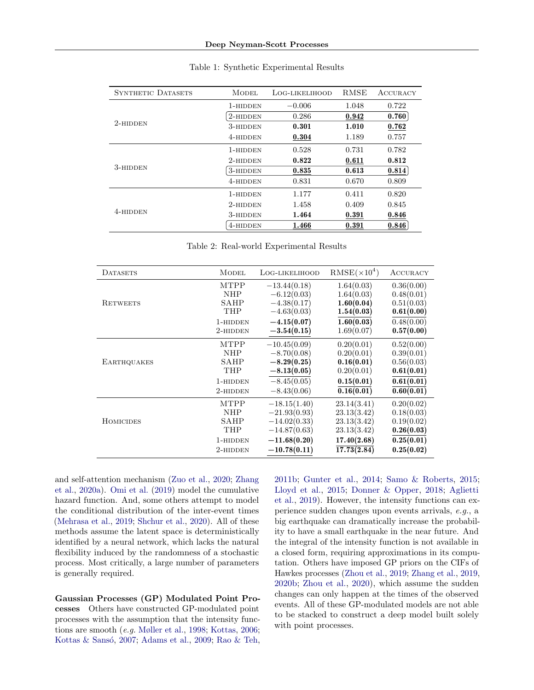<span id="page-7-0"></span>

| <b>SYNTHETIC DATASETS</b> | <b>MODEL</b> | LOG-LIKELIHOOD | <b>RMSE</b> | <b>ACCURACY</b> |
|---------------------------|--------------|----------------|-------------|-----------------|
|                           | 1-hidden     | $-0.006$       | 1.048       | 0.722           |
|                           | 2-hidden     | 0.286          | 0.942       | 0.760           |
| $2$ -hidden               | 3-hidden     | 0.301          | 1.010       | 0.762           |
|                           | 4-hidden     | 0.304          | 1.189       | 0.757           |
|                           | 1-hidden     | 0.528          | 0.731       | 0.782           |
|                           | 2-hidden     | 0.822          | 0.611       | 0.812           |
| 3-HIDDEN                  | 3-HIDDEN     | 0.835          | 0.613       | 0.814           |
|                           | 4-hidden     | 0.831          | 0.670       | 0.809           |
|                           | 1-hidden     | 1.177          | 0.411       | 0.820           |
|                           | 2-hidden     | 1.458          | 0.409       | 0.845           |
| 4-HIDDEN                  | 3-hidden     | 1.464          | 0.391       | 0.846           |
|                           | 4-HIDDEN     | 1.466          | 0.391       | 0.846           |

#### Table 1: Synthetic Experimental Results

Table 2: Real-world Experimental Results

<span id="page-7-1"></span>

| <b>DATASETS</b>    | <b>MODEL</b> | LOG-LIKELIHOOD | $RMSE(\times 10^4)$     | ACCURACY                |
|--------------------|--------------|----------------|-------------------------|-------------------------|
|                    | <b>MTPP</b>  | $-13.44(0.18)$ | 1.64(0.03)              | 0.36(0.00)              |
|                    | <b>NHP</b>   | $-6.12(0.03)$  | 1.64(0.03)              | 0.48(0.01)              |
| <b>RETWEETS</b>    | SAHP         | $-4.38(0.17)$  | 1.60(0.04)              | 0.51(0.03)              |
|                    | THP          | $-4.63(0.03)$  | 1.54(0.03)              | 0.61(0.00)              |
|                    | 1-HIDDEN     | $-4.15(0.07)$  | 1.60(0.03)              | 0.48(0.00)              |
|                    | 2-HIDDEN     | $-3.54(0.15)$  | 1.69(0.07)              | 0.57(0.00)              |
|                    | <b>MTPP</b>  | $-10.45(0.09)$ | 0.20(0.01)              | 0.52(0.00)              |
|                    | <b>NHP</b>   | $-8.70(0.08)$  | 0.20(0.01)              | 0.39(0.01)              |
| <b>EARTHQUAKES</b> | SAHP         | $-8.29(0.25)$  | 0.16(0.01)              | 0.56(0.03)              |
|                    | THP          | $-8.13(0.05)$  | 0.20(0.01)              | 0.61(0.01)              |
|                    | 1-HIDDEN     | $-8.45(0.05)$  | 0.15(0.01)              | 0.61(0.01)              |
|                    | 2-HIDDEN     | $-8.43(0.06)$  | $\overline{0.16(0.01)}$ | $\overline{0.60(0.01)}$ |
|                    | <b>MTPP</b>  | $-18.15(1.40)$ | 23.14(3.41)             | 0.20(0.02)              |
|                    | <b>NHP</b>   | $-21.93(0.93)$ | 23.13(3.42)             | 0.18(0.03)              |
| <b>HOMICIDES</b>   | SAHP         | $-14.02(0.33)$ | 23.13(3.42)             | 0.19(0.02)              |
|                    | THP          | $-14.87(0.63)$ | 23.13(3.42)             | 0.26(0.03)              |
|                    | 1-HIDDEN     | $-11.68(0.20)$ | 17.40(2.68)             | 0.25(0.01)              |
|                    | 2-HIDDEN     | $-10.78(0.11)$ | 17.73(2.84)             | 0.25(0.02)              |

and self-attention mechanism [\(Zuo et al.,](#page-10-6) [2020;](#page-10-6) [Zhang](#page-10-5) [et al.,](#page-10-5) [2020a\)](#page-10-5). [Omi et al.](#page-9-15) [\(2019\)](#page-9-15) model the cumulative hazard function. And, some others attempt to model the conditional distribution of the inter-event times [\(Mehrasa et al.,](#page-9-16) [2019;](#page-9-16) [Shchur et al.,](#page-10-12) [2020\)](#page-10-12). All of these methods assume the latent space is deterministically identified by a neural network, which lacks the natural flexibility induced by the randomness of a stochastic process. Most critically, a large number of parameters is generally required.

Gaussian Processes (GP) Modulated Point Processes Others have constructed GP-modulated point processes with the assumption that the intensity functions are smooth (e.g. [Møller et al.,](#page-9-17) [1998;](#page-9-17) [Kottas,](#page-9-18) [2006;](#page-9-18) Kottas & Sansó, [2007;](#page-9-19) [Adams et al.,](#page-8-3) [2009;](#page-8-3) [Rao & Teh,](#page-10-13) [2011b;](#page-10-13) [Gunter et al.,](#page-9-20) [2014;](#page-9-20) [Samo & Roberts,](#page-10-14) [2015;](#page-10-14) [Lloyd et al.,](#page-9-21) [2015;](#page-9-21) [Donner & Opper,](#page-8-12) [2018;](#page-8-12) [Aglietti](#page-8-13) [et al.,](#page-8-13) [2019\)](#page-8-13). However, the intensity functions can experience sudden changes upon events arrivals, e.g., a big earthquake can dramatically increase the probability to have a small earthquake in the near future. And the integral of the intensity function is not available in a closed form, requiring approximations in its computation. Others have imposed GP priors on the CIFs of Hawkes processes [\(Zhou et al.,](#page-10-15) [2019;](#page-10-15) [Zhang et al.,](#page-10-16) [2019,](#page-10-16) [2020b;](#page-10-17) [Zhou et al.,](#page-10-18) [2020\)](#page-10-18), which assume the sudden changes can only happen at the times of the observed events. All of these GP-modulated models are not able to be stacked to construct a deep model built solely with point processes.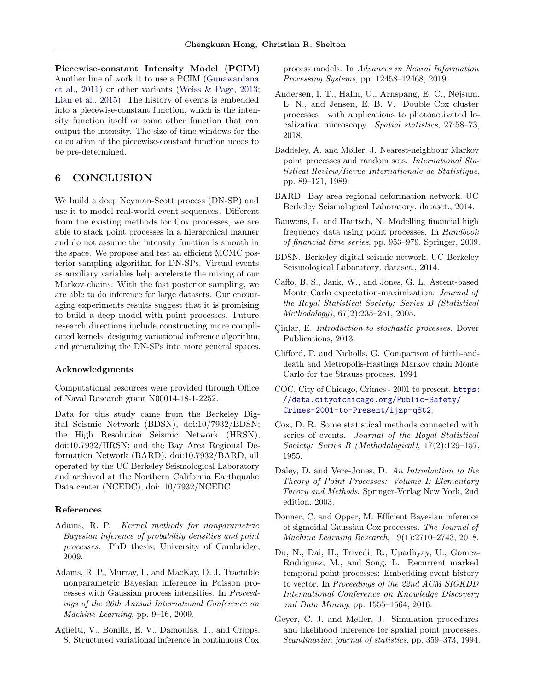Piecewise-constant Intensity Model (PCIM) Another line of work it to use a PCIM [\(Gunawardana](#page-9-14) [et al.,](#page-9-14) [2011\)](#page-9-14) or other variants [\(Weiss & Page,](#page-10-19) [2013;](#page-10-19) [Lian et al.,](#page-9-8) [2015\)](#page-9-8). The history of events is embedded into a piecewise-constant function, which is the intensity function itself or some other function that can output the intensity. The size of time windows for the calculation of the piecewise-constant function needs to be pre-determined.

## 6 CONCLUSION

We build a deep Neyman-Scott process (DN-SP) and use it to model real-world event sequences. Different from the existing methods for Cox processes, we are able to stack point processes in a hierarchical manner and do not assume the intensity function is smooth in the space. We propose and test an efficient MCMC posterior sampling algorithm for DN-SPs. Virtual events as auxiliary variables help accelerate the mixing of our Markov chains. With the fast posterior sampling, we are able to do inference for large datasets. Our encouraging experiments results suggest that it is promising to build a deep model with point processes. Future research directions include constructing more complicated kernels, designing variational inference algorithm, and generalizing the DN-SPs into more general spaces.

#### Acknowledgments

Computational resources were provided through Office of Naval Research grant N00014-18-1-2252.

Data for this study came from the Berkeley Digital Seismic Network (BDSN), doi:10/7932/BDSN; the High Resolution Seismic Network (HRSN), doi:10.7932/HRSN; and the Bay Area Regional Deformation Network (BARD), doi:10.7932/BARD, all operated by the UC Berkeley Seismological Laboratory and archived at the Northern California Earthquake Data center (NCEDC), doi: 10/7932/NCEDC.

#### References

- <span id="page-8-2"></span>Adams, R. P. Kernel methods for nonparametric Bayesian inference of probability densities and point processes. PhD thesis, University of Cambridge, 2009.
- <span id="page-8-3"></span>Adams, R. P., Murray, I., and MacKay, D. J. Tractable nonparametric Bayesian inference in Poisson processes with Gaussian process intensities. In Proceedings of the 26th Annual International Conference on Machine Learning, pp. 9–16, 2009.
- <span id="page-8-13"></span>Aglietti, V., Bonilla, E. V., Damoulas, T., and Cripps, S. Structured variational inference in continuous Cox

process models. In Advances in Neural Information Processing Systems, pp. 12458–12468, 2019.

- <span id="page-8-5"></span>Andersen, I. T., Hahn, U., Arnspang, E. C., Nejsum, L. N., and Jensen, E. B. V. Double Cox cluster processes—with applications to photoactivated localization microscopy. Spatial statistics, 27:58–73, 2018.
- <span id="page-8-4"></span>Baddeley, A. and Møller, J. Nearest-neighbour Markov point processes and random sets. International Statistical Review/Revue Internationale de Statistique, pp. 89–121, 1989.
- <span id="page-8-15"></span>BARD. Bay area regional deformation network. UC Berkeley Seismological Laboratory. dataset., 2014.
- <span id="page-8-0"></span>Bauwens, L. and Hautsch, N. Modelling financial high frequency data using point processes. In Handbook of financial time series, pp. 953–979. Springer, 2009.
- <span id="page-8-14"></span>BDSN. Berkeley digital seismic network. UC Berkeley Seismological Laboratory. dataset., 2014.
- <span id="page-8-10"></span>Caffo, B. S., Jank, W., and Jones, G. L. Ascent-based Monte Carlo expectation-maximization. Journal of the Royal Statistical Society: Series B (Statistical Methodology), 67(2):235–251, 2005.
- <span id="page-8-9"></span>Cinlar, E. Introduction to stochastic processes. Dover Publications, 2013.
- <span id="page-8-8"></span>Clifford, P. and Nicholls, G. Comparison of birth-anddeath and Metropolis-Hastings Markov chain Monte Carlo for the Strauss process. 1994.
- <span id="page-8-16"></span>COC. City of Chicago, Crimes - 2001 to present. [https:](https://data.cityofchicago.org/Public-Safety/Crimes-2001-to-Present/ijzp-q8t2) [//data.cityofchicago.org/Public-Safety/](https://data.cityofchicago.org/Public-Safety/Crimes-2001-to-Present/ijzp-q8t2) [Crimes-2001-to-Present/ijzp-q8t2](https://data.cityofchicago.org/Public-Safety/Crimes-2001-to-Present/ijzp-q8t2).
- <span id="page-8-1"></span>Cox, D. R. Some statistical methods connected with series of events. Journal of the Royal Statistical Society: Series B (Methodological), 17(2):129–157, 1955.
- <span id="page-8-6"></span>Daley, D. and Vere-Jones, D. An Introduction to the Theory of Point Processes: Volume I: Elementary Theory and Methods. Springer-Verlag New York, 2nd edition, 2003.
- <span id="page-8-12"></span>Donner, C. and Opper, M. Efficient Bayesian inference of sigmoidal Gaussian Cox processes. The Journal of Machine Learning Research, 19(1):2710–2743, 2018.
- <span id="page-8-11"></span>Du, N., Dai, H., Trivedi, R., Upadhyay, U., Gomez-Rodriguez, M., and Song, L. Recurrent marked temporal point processes: Embedding event history to vector. In Proceedings of the 22nd ACM SIGKDD International Conference on Knowledge Discovery and Data Mining, pp. 1555–1564, 2016.
- <span id="page-8-7"></span>Geyer, C. J. and Møller, J. Simulation procedures and likelihood inference for spatial point processes. Scandinavian journal of statistics, pp. 359–373, 1994.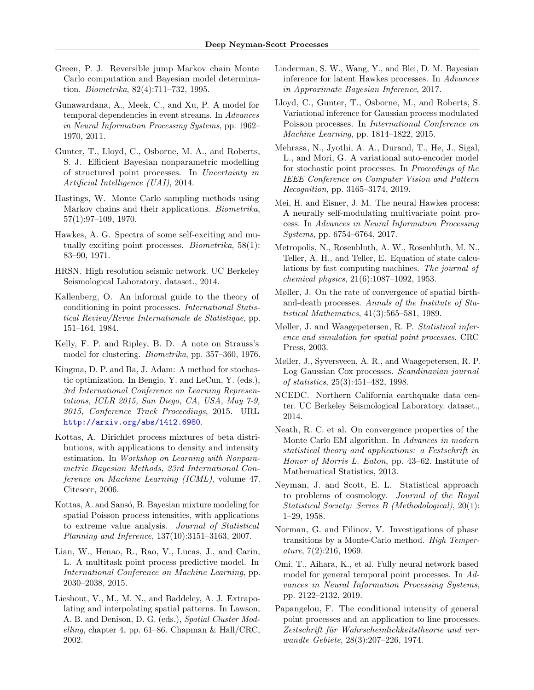- <span id="page-9-11"></span>Green, P. J. Reversible jump Markov chain Monte Carlo computation and Bayesian model determination. Biometrika, 82(4):711–732, 1995.
- <span id="page-9-14"></span>Gunawardana, A., Meek, C., and Xu, P. A model for temporal dependencies in event streams. In Advances in Neural Information Processing Systems, pp. 1962– 1970, 2011.
- <span id="page-9-20"></span>Gunter, T., Lloyd, C., Osborne, M. A., and Roberts, S. J. Efficient Bayesian nonparametric modelling of structured point processes. In Uncertainty in Artificial Intelligence (UAI), 2014.
- <span id="page-9-5"></span>Hastings, W. Monte Carlo sampling methods using Markov chains and their applications. *Biometrika*, 57(1):97–109, 1970.
- <span id="page-9-1"></span>Hawkes, A. G. Spectra of some self-exciting and mutually exciting point processes. *Biometrika*,  $58(1)$ : 83–90, 1971.
- <span id="page-9-26"></span>HRSN. High resolution seismic network. UC Berkeley Seismological Laboratory. dataset., 2014.
- <span id="page-9-22"></span>Kallenberg, O. An informal guide to the theory of conditioning in point processes. International Statistical Review/Revue Internationale de Statistique, pp. 151–164, 1984.
- <span id="page-9-6"></span>Kelly, F. P. and Ripley, B. D. A note on Strauss's model for clustering. Biometrika, pp. 357–360, 1976.
- <span id="page-9-13"></span>Kingma, D. P. and Ba, J. Adam: A method for stochastic optimization. In Bengio, Y. and LeCun, Y. (eds.), 3rd International Conference on Learning Representations, ICLR 2015, San Diego, CA, USA, May 7-9, 2015, Conference Track Proceedings, 2015. URL <http://arxiv.org/abs/1412.6980>.
- <span id="page-9-18"></span>Kottas, A. Dirichlet process mixtures of beta distributions, with applications to density and intensity estimation. In Workshop on Learning with Nonparametric Bayesian Methods, 23rd International Conference on Machine Learning (ICML), volume 47. Citeseer, 2006.
- <span id="page-9-19"></span>Kottas, A. and Sansó, B. Bayesian mixture modeling for spatial Poisson process intensities, with applications to extreme value analysis. Journal of Statistical Planning and Inference, 137(10):3151–3163, 2007.
- <span id="page-9-8"></span>Lian, W., Henao, R., Rao, V., Lucas, J., and Carin, L. A multitask point process predictive model. In International Conference on Machine Learning, pp. 2030–2038, 2015.
- <span id="page-9-24"></span>Lieshout, V., M., M. N., and Baddeley, A. J. Extrapolating and interpolating spatial patterns. In Lawson, A. B. and Denison, D. G. (eds.), Spatial Cluster Modelling, chapter 4, pp. 61–86. Chapman & Hall/CRC, 2002.
- <span id="page-9-7"></span>Linderman, S. W., Wang, Y., and Blei, D. M. Bayesian inference for latent Hawkes processes. In Advances in Approximate Bayesian Inference, 2017.
- <span id="page-9-21"></span>Lloyd, C., Gunter, T., Osborne, M., and Roberts, S. Variational inference for Gaussian process modulated Poisson processes. In International Conference on Machine Learning, pp. 1814–1822, 2015.
- <span id="page-9-16"></span>Mehrasa, N., Jyothi, A. A., Durand, T., He, J., Sigal, L., and Mori, G. A variational auto-encoder model for stochastic point processes. In Proceedings of the IEEE Conference on Computer Vision and Pattern Recognition, pp. 3165–3174, 2019.
- <span id="page-9-9"></span>Mei, H. and Eisner, J. M. The neural Hawkes process: A neurally self-modulating multivariate point process. In Advances in Neural Information Processing Systems, pp. 6754–6764, 2017.
- <span id="page-9-3"></span>Metropolis, N., Rosenbluth, A. W., Rosenbluth, M. N., Teller, A. H., and Teller, E. Equation of state calculations by fast computing machines. The journal of chemical physics, 21(6):1087–1092, 1953.
- <span id="page-9-23"></span>Møller, J. On the rate of convergence of spatial birthand-death processes. Annals of the Institute of Statistical Mathematics, 41(3):565–581, 1989.
- <span id="page-9-2"></span>Møller, J. and Waagepetersen, R. P. Statistical inference and simulation for spatial point processes. CRC Press, 2003.
- <span id="page-9-17"></span>Møller, J., Syversveen, A. R., and Waagepetersen, R. P. Log Gaussian Cox processes. Scandinavian journal of statistics, 25(3):451–482, 1998.
- <span id="page-9-25"></span>NCEDC. Northern California earthquake data center. UC Berkeley Seismological Laboratory. dataset., 2014.
- <span id="page-9-12"></span>Neath, R. C. et al. On convergence properties of the Monte Carlo EM algorithm. In Advances in modern statistical theory and applications: a Festschrift in Honor of Morris L. Eaton, pp. 43–62. Institute of Mathematical Statistics, 2013.
- <span id="page-9-0"></span>Neyman, J. and Scott, E. L. Statistical approach to problems of cosmology. Journal of the Royal Statistical Society: Series B (Methodological), 20(1): 1–29, 1958.
- <span id="page-9-4"></span>Norman, G. and Filinov, V. Investigations of phase transitions by a Monte-Carlo method. High Temperature, 7(2):216, 1969.
- <span id="page-9-15"></span>Omi, T., Aihara, K., et al. Fully neural network based model for general temporal point processes. In Advances in Neural Information Processing Systems, pp. 2122–2132, 2019.
- <span id="page-9-10"></span>Papangelou, F. The conditional intensity of general point processes and an application to line processes. Zeitschrift für Wahrscheinlichkeitstheorie und verwandte Gebiete, 28(3):207–226, 1974.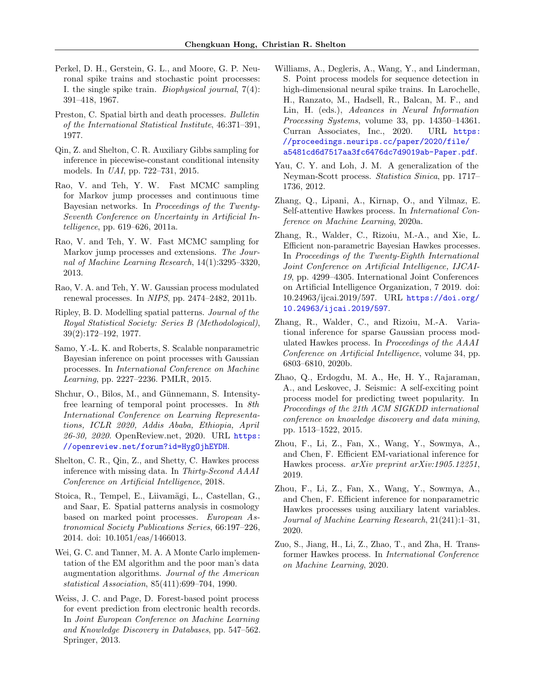- <span id="page-10-0"></span>Perkel, D. H., Gerstein, G. L., and Moore, G. P. Neuronal spike trains and stochastic point processes: I. the single spike train. Biophysical journal, 7(4): 391–418, 1967.
- <span id="page-10-20"></span>Preston, C. Spatial birth and death processes. Bulletin of the International Statistical Institute, 46:371–391, 1977.
- <span id="page-10-10"></span>Qin, Z. and Shelton, C. R. Auxiliary Gibbs sampling for inference in piecewise-constant conditional intensity models. In UAI, pp. 722–731, 2015.
- <span id="page-10-8"></span>Rao, V. and Teh, Y. W. Fast MCMC sampling for Markov jump processes and continuous time Bayesian networks. In Proceedings of the Twenty-Seventh Conference on Uncertainty in Artificial Intelligence, pp. 619–626, 2011a.
- <span id="page-10-9"></span>Rao, V. and Teh, Y. W. Fast MCMC sampling for Markov jump processes and extensions. The Journal of Machine Learning Research, 14(1):3295–3320, 2013.
- <span id="page-10-13"></span>Rao, V. A. and Teh, Y. W. Gaussian process modulated renewal processes. In NIPS, pp. 2474–2482, 2011b.
- <span id="page-10-3"></span>Ripley, B. D. Modelling spatial patterns. Journal of the Royal Statistical Society: Series B (Methodological), 39(2):172–192, 1977.
- <span id="page-10-14"></span>Samo, Y.-L. K. and Roberts, S. Scalable nonparametric Bayesian inference on point processes with Gaussian processes. In International Conference on Machine Learning, pp. 2227–2236. PMLR, 2015.
- <span id="page-10-12"></span>Shchur, O., Bilos, M., and Günnemann, S. Intensityfree learning of temporal point processes. In 8th International Conference on Learning Representations, ICLR 2020, Addis Ababa, Ethiopia, April 26-30, 2020. OpenReview.net, 2020. URL [https:](https://openreview.net/forum?id=HygOjhEYDH) [//openreview.net/forum?id=HygOjhEYDH](https://openreview.net/forum?id=HygOjhEYDH).
- <span id="page-10-11"></span>Shelton, C. R., Qin, Z., and Shetty, C. Hawkes process inference with missing data. In Thirty-Second AAAI Conference on Artificial Intelligence, 2018.
- <span id="page-10-1"></span>Stoica, R., Tempel, E., Liivamägi, L., Castellan, G., and Saar, E. Spatial patterns analysis in cosmology based on marked point processes. European Astronomical Society Publications Series, 66:197–226, 2014. doi: 10.1051/eas/1466013.
- <span id="page-10-7"></span>Wei, G. C. and Tanner, M. A. A Monte Carlo implementation of the EM algorithm and the poor man's data augmentation algorithms. Journal of the American statistical Association, 85(411):699–704, 1990.
- <span id="page-10-19"></span>Weiss, J. C. and Page, D. Forest-based point process for event prediction from electronic health records. In Joint European Conference on Machine Learning and Knowledge Discovery in Databases, pp. 547–562. Springer, 2013.
- <span id="page-10-4"></span>Williams, A., Degleris, A., Wang, Y., and Linderman, S. Point process models for sequence detection in high-dimensional neural spike trains. In Larochelle, H., Ranzato, M., Hadsell, R., Balcan, M. F., and Lin, H. (eds.), Advances in Neural Information Processing Systems, volume 33, pp. 14350–14361. Curran Associates, Inc., 2020. URL [https:](https://proceedings.neurips.cc/paper/2020/file/a5481cd6d7517aa3fc6476dc7d9019ab-Paper.pdf) [//proceedings.neurips.cc/paper/2020/file/](https://proceedings.neurips.cc/paper/2020/file/a5481cd6d7517aa3fc6476dc7d9019ab-Paper.pdf) [a5481cd6d7517aa3fc6476dc7d9019ab-Paper.pdf](https://proceedings.neurips.cc/paper/2020/file/a5481cd6d7517aa3fc6476dc7d9019ab-Paper.pdf).
- <span id="page-10-2"></span>Yau, C. Y. and Loh, J. M. A generalization of the Neyman-Scott process. Statistica Sinica, pp. 1717– 1736, 2012.
- <span id="page-10-5"></span>Zhang, Q., Lipani, A., Kirnap, O., and Yilmaz, E. Self-attentive Hawkes process. In International Conference on Machine Learning, 2020a.
- <span id="page-10-16"></span>Zhang, R., Walder, C., Rizoiu, M.-A., and Xie, L. Efficient non-parametric Bayesian Hawkes processes. In Proceedings of the Twenty-Eighth International Joint Conference on Artificial Intelligence, IJCAI-19, pp. 4299–4305. International Joint Conferences on Artificial Intelligence Organization, 7 2019. doi: 10.24963/ijcai.2019/597. URL [https://doi.org/](https://doi.org/10.24963/ijcai.2019/597) [10.24963/ijcai.2019/597](https://doi.org/10.24963/ijcai.2019/597).
- <span id="page-10-17"></span>Zhang, R., Walder, C., and Rizoiu, M.-A. Variational inference for sparse Gaussian process modulated Hawkes process. In Proceedings of the AAAI Conference on Artificial Intelligence, volume 34, pp. 6803–6810, 2020b.
- <span id="page-10-21"></span>Zhao, Q., Erdogdu, M. A., He, H. Y., Rajaraman, A., and Leskovec, J. Seismic: A self-exciting point process model for predicting tweet popularity. In Proceedings of the 21th ACM SIGKDD international conference on knowledge discovery and data mining, pp. 1513–1522, 2015.
- <span id="page-10-15"></span>Zhou, F., Li, Z., Fan, X., Wang, Y., Sowmya, A., and Chen, F. Efficient EM-variational inference for Hawkes process. arXiv preprint arXiv:1905.12251, 2019.
- <span id="page-10-18"></span>Zhou, F., Li, Z., Fan, X., Wang, Y., Sowmya, A., and Chen, F. Efficient inference for nonparametric Hawkes processes using auxiliary latent variables. Journal of Machine Learning Research, 21(241):1–31, 2020.
- <span id="page-10-6"></span>Zuo, S., Jiang, H., Li, Z., Zhao, T., and Zha, H. Transformer Hawkes process. In International Conference on Machine Learning, 2020.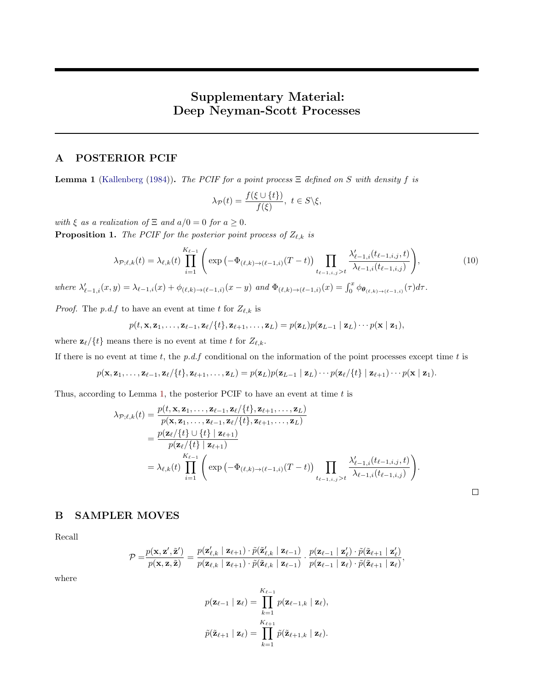# Supplementary Material: Deep Neyman-Scott Processes

### <span id="page-11-0"></span>A POSTERIOR PCIF

<span id="page-11-2"></span>**Lemma 1** [\(Kallenberg](#page-9-22) [\(1984\)](#page-9-22)). The PCIF for a point process  $\Xi$  defined on S with density f is

$$
\lambda_{\mathcal{P}}(t) = \frac{f(\xi \cup \{t\})}{f(\xi)}, \ t \in S \backslash \xi,
$$

with  $\xi$  as a realization of  $\Xi$  and  $a/0 = 0$  for  $a \geq 0$ .

**Proposition 1.** The PCIF for the posterior point process of  $Z_{\ell,k}$  is

$$
\lambda_{\mathcal{P};\ell,k}(t) = \lambda_{\ell,k}(t) \prod_{i=1}^{K_{\ell-1}} \left( \exp\left(-\Phi_{(\ell,k)\to(\ell-1,i)}(T-t)\right) \prod_{t_{\ell-1,i,j} > t} \frac{\lambda'_{\ell-1,i}(t_{\ell-1,i,j},t)}{\lambda_{\ell-1,i}(t_{\ell-1,i,j})} \right),\tag{10}
$$

where  $\lambda'_{\ell-1,i}(x,y) = \lambda_{\ell-1,i}(x) + \phi_{(\ell,k)\to(\ell-1,i)}(x-y)$  and  $\Phi_{(\ell,k)\to(\ell-1,i)}(x) = \int_0^x \phi_{\theta_{(\ell,k)\to(\ell-1,i)}}(\tau) d\tau$ .

*Proof.* The p.d.f to have an event at time t for  $Z_{\ell,k}$  is

$$
p(t, \mathbf{x}, \mathbf{z}_1, \ldots, \mathbf{z}_{\ell-1}, \mathbf{z}_{\ell} / \{t\}, \mathbf{z}_{\ell+1}, \ldots, \mathbf{z}_L) = p(\mathbf{z}_L) p(\mathbf{z}_{L-1} | \mathbf{z}_L) \cdots p(\mathbf{x} | \mathbf{z}_1),
$$

where  $\mathbf{z}_{\ell}/\{t\}$  means there is no event at time t for  $Z_{\ell,k}$ .

If there is no event at time t, the p.d.f conditional on the information of the point processes except time t is

$$
p(\mathbf{x}, \mathbf{z}_1, \ldots, \mathbf{z}_{\ell-1}, \mathbf{z}_{\ell} / \{t\}, \mathbf{z}_{\ell+1}, \ldots, \mathbf{z}_L) = p(\mathbf{z}_L) p(\mathbf{z}_{L-1} | \mathbf{z}_L) \cdots p(\mathbf{z}_{\ell} / \{t\} | \mathbf{z}_{\ell+1}) \cdots p(\mathbf{x} | \mathbf{z}_1).
$$

Thus, according to Lemma [1,](#page-11-2) the posterior PCIF to have an event at time  $t$  is

$$
\lambda_{\mathcal{P};\ell,k}(t) = \frac{p(t, \mathbf{x}, \mathbf{z}_1, \dots, \mathbf{z}_{\ell-1}, \mathbf{z}_{\ell} / \{t\}, \mathbf{z}_{\ell+1}, \dots, \mathbf{z}_{L})}{p(\mathbf{x}, \mathbf{z}_1, \dots, \mathbf{z}_{\ell-1}, \mathbf{z}_{\ell} / \{t\}, \mathbf{z}_{\ell+1}, \dots, \mathbf{z}_{L})}
$$
\n
$$
= \frac{p(\mathbf{z}_{\ell} / \{t\} \cup \{t\} \mid \mathbf{z}_{\ell+1})}{p(\mathbf{z}_{\ell} / \{t\} \mid \mathbf{z}_{\ell+1})}
$$
\n
$$
= \lambda_{\ell,k}(t) \prod_{i=1}^{K_{\ell-1}} \left( \exp\left(-\Phi_{(\ell,k) \to (\ell-1,i)}(T-t)\right) \prod_{t_{\ell-1,i,j} > t} \frac{\lambda'_{\ell-1,i}(t_{\ell-1,i,j}, t)}{\lambda_{\ell-1,i}(t_{\ell-1,i,j})} \right).
$$

 $\Box$ 

### <span id="page-11-1"></span>B SAMPLER MOVES

Recall

$$
\mathcal{P}=\!\frac{p(\mathbf{x},\mathbf{z}',\tilde{\mathbf{z}}')}{p(\mathbf{x},\mathbf{z},\tilde{\mathbf{z}})}=\frac{p(\mathbf{z}'_{\ell,k}\mid\mathbf{z}_{\ell+1})\cdot\tilde{p}(\tilde{\mathbf{z}}'_{\ell,k}\mid\mathbf{z}_{\ell-1})}{p(\mathbf{z}_{\ell,k}\mid\mathbf{z}_{\ell+1})\cdot\tilde{p}(\tilde{\mathbf{z}}_{\ell,k}\mid\mathbf{z}_{\ell-1})}\cdot\frac{p(\mathbf{z}_{\ell-1}\mid\mathbf{z}'_{\ell})\cdot\tilde{p}(\tilde{\mathbf{z}}_{\ell+1}\mid\mathbf{z}_{\ell})}{p(\mathbf{z}_{\ell-1}\mid\mathbf{z}_{\ell})\cdot\tilde{p}(\tilde{\mathbf{z}}_{\ell+1}\mid\mathbf{z}_{\ell})},
$$

where

$$
p(\mathbf{z}_{\ell-1} | \mathbf{z}_{\ell}) = \prod_{k=1}^{K_{\ell-1}} p(\mathbf{z}_{\ell-1,k} | \mathbf{z}_{\ell}),
$$
  

$$
\tilde{p}(\tilde{\mathbf{z}}_{\ell+1} | \mathbf{z}_{\ell}) = \prod_{k=1}^{K_{\ell+1}} \tilde{p}(\tilde{\mathbf{z}}_{\ell+1,k} | \mathbf{z}_{\ell}).
$$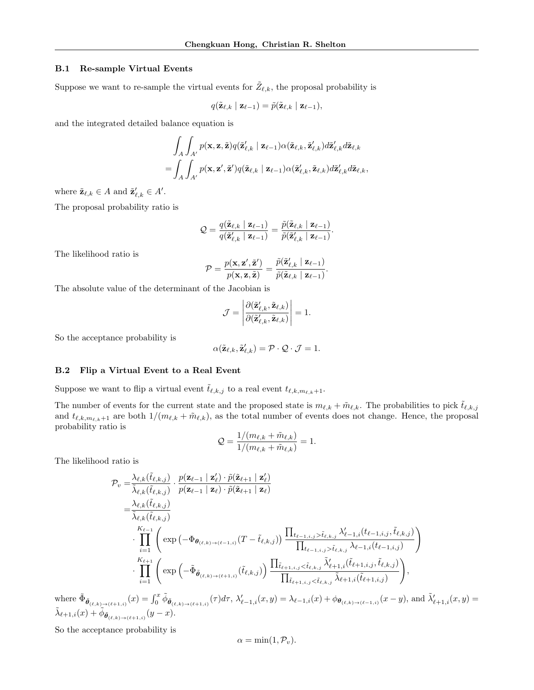#### B.1 Re-sample Virtual Events

Suppose we want to re-sample the virtual events for  $\tilde{Z}_{\ell,k}$ , the proposal probability is

$$
q(\tilde{\mathbf{z}}_{\ell,k} \mid \mathbf{z}_{\ell-1}) = \tilde{p}(\tilde{\mathbf{z}}_{\ell,k} \mid \mathbf{z}_{\ell-1}),
$$

and the integrated detailed balance equation is

$$
\int_A \int_{A'} p(\mathbf{x}, \mathbf{z}, \tilde{\mathbf{z}}) q(\tilde{\mathbf{z}}'_{\ell,k} | \mathbf{z}_{\ell-1}) \alpha(\tilde{\mathbf{z}}_{\ell,k}, \tilde{\mathbf{z}}'_{\ell,k}) d\tilde{\mathbf{z}}'_{\ell,k} d\tilde{\mathbf{z}}_{\ell,k} = \int_A \int_{A'} p(\mathbf{x}, \mathbf{z}', \tilde{\mathbf{z}}') q(\tilde{\mathbf{z}}_{\ell,k} | \mathbf{z}_{\ell-1}) \alpha(\tilde{\mathbf{z}}'_{\ell,k}, \tilde{\mathbf{z}}_{\ell,k}) d\tilde{\mathbf{z}}'_{\ell,k} d\tilde{\mathbf{z}}_{\ell,k},
$$

where  $\tilde{\mathbf{z}}_{\ell,k} \in A$  and  $\tilde{\mathbf{z}}'_{\ell,k} \in A'$ .

The proposal probability ratio is

$$
\mathcal{Q} = \frac{q(\tilde{\mathbf{z}}_{\ell,k} \mid \mathbf{z}_{\ell-1})}{q(\tilde{\mathbf{z}}_{\ell,k}' \mid \mathbf{z}_{\ell-1})} = \frac{\tilde{p}(\tilde{\mathbf{z}}_{\ell,k} \mid \mathbf{z}_{\ell-1})}{\tilde{p}(\tilde{\mathbf{z}}_{\ell,k}' \mid \mathbf{z}_{\ell-1})}.
$$

The likelihood ratio is

$$
\mathcal{P} = \frac{p(\mathbf{x}, \mathbf{z}', \tilde{\mathbf{z}}')}{p(\mathbf{x}, \mathbf{z}, \tilde{\mathbf{z}})} = \frac{\tilde{p}(\tilde{\mathbf{z}}'_{\ell,k} \mid \mathbf{z}_{\ell-1})}{\tilde{p}(\tilde{\mathbf{z}}_{\ell,k} \mid \mathbf{z}_{\ell-1})}.
$$

The absolute value of the determinant of the Jacobian is

$$
\mathcal{J} = \left| \frac{\partial (\tilde{\mathbf{z}}_{\ell,k}', \tilde{\mathbf{z}}_{\ell,k})}{\partial (\tilde{\mathbf{z}}_{\ell,k}', \tilde{\mathbf{z}}_{\ell,k})} \right| = 1.
$$

So the acceptance probability is

$$
\alpha(\tilde{\mathbf{z}}_{\ell,k}, \tilde{\mathbf{z}}_{\ell,k}') = \mathcal{P} \cdot \mathcal{Q} \cdot \mathcal{J} = 1.
$$

#### <span id="page-12-0"></span>B.2 Flip a Virtual Event to a Real Event

Suppose we want to flip a virtual event  $\tilde{t}_{\ell,k,j}$  to a real event  $t_{\ell,k,m_{\ell,k}+1}$ .

The number of events for the current state and the proposed state is  $m_{\ell,k} + \tilde{m}_{\ell,k}$ . The probabilities to pick  $\tilde{t}_{\ell,k,j}$ and  $t_{\ell,k,m_{\ell,k}+1}$  are both  $1/(m_{\ell,k} + \tilde{m}_{\ell,k})$ , as the total number of events does not change. Hence, the proposal probability ratio is

$$
\mathcal{Q} = \frac{1/(m_{\ell,k} + \tilde{m}_{\ell,k})}{1/(m_{\ell,k} + \tilde{m}_{\ell,k})} = 1.
$$

The likelihood ratio is

$$
\mathcal{P}_{v} = \frac{\lambda_{\ell,k}(\tilde{t}_{\ell,k,j})}{\tilde{\lambda}_{\ell,k}(\tilde{t}_{\ell,k,j})} \cdot \frac{p(\mathbf{z}_{\ell-1} | \mathbf{z}_{\ell}) \cdot \tilde{p}(\tilde{\mathbf{z}}_{\ell+1} | \mathbf{z}_{\ell})}{p(\mathbf{z}_{\ell-1} | \mathbf{z}_{\ell}) \cdot \tilde{p}(\tilde{\mathbf{z}}_{\ell+1} | \mathbf{z}_{\ell})}
$$
\n
$$
= \frac{\lambda_{\ell,k}(\tilde{t}_{\ell,k,j})}{\tilde{\lambda}_{\ell,k}(\tilde{t}_{\ell,k,j})} \cdot \prod_{i=1}^{K_{\ell-1}} \left( \exp\left(-\Phi_{\theta_{(\ell,k)} \to (\ell-1,i)}(T - \tilde{t}_{\ell,k,j})\right) \frac{\prod_{t_{\ell-1,i,j} > \tilde{t}_{\ell,k,j}} \lambda'_{\ell-1,i}(t_{\ell-1,i,j}, \tilde{t}_{\ell,k,j})}{\prod_{t_{\ell-1,i,j} > \tilde{t}_{\ell,k,j}} \lambda_{\ell-1,i}(t_{\ell-1,i,j})} \right)
$$
\n
$$
\cdot \prod_{i=1}^{K_{\ell+1}} \left( \exp\left(-\tilde{\Phi}_{\tilde{\theta}_{(\ell,k)} \to (\ell+1,i)}(\tilde{t}_{\ell,k,j})\right) \frac{\prod_{\tilde{t}_{\ell+1,i,j} < \tilde{t}_{\ell,k,j}} \tilde{\lambda}'_{\ell+1,i}(\tilde{t}_{\ell+1,i,j}, \tilde{t}_{\ell,k,j})}{\prod_{\tilde{t}_{\ell+1,i,j} < \tilde{t}_{\ell,k,j}} \tilde{\lambda}_{\ell+1,i}(\tilde{t}_{\ell+1,i,j})} \right),
$$
\n
$$
(x) = \int_{0}^{x} \tilde{\phi}_{\tilde{\phi}} \qquad (\tau) d\tau, \lambda'_{\ell-1} \cdot (x, y) = \lambda_{\ell-1,i}(x) + \phi_{\theta_{\ell+1,i,j}} \cdot (x - y), \text{ and } \tilde{\lambda}'_{\ell-1,i}(x, y) = \lambda_{\ell-1,i}(x) + \phi_{\theta_{\ell+1,i,j}} \cdot (x - y)
$$

where  $\tilde{\Phi}_{\tilde{\theta}_{(\ell,k)\to(\ell+1,i)}}(x) = \int_0^x \tilde{\phi}_{\tilde{\theta}_{(\ell,k)\to(\ell+1,i)}}(\tau) d\tau, \ \lambda'_{\ell-1,i}(x,y) = \lambda_{\ell-1,i}(x) + \phi_{\theta_{(\ell,k)\to(\ell-1,i)}}(x-y),$  and  $\tilde{\lambda}'_{\ell+1,i}(x,y) = \tilde{\Phi}_{\tilde{\theta}_{(\ell,k)\to(\ell+1,i)}}(x)$  $\tilde{\lambda}_{\ell+1,i}(x) + \tilde{\phi}_{\tilde{\boldsymbol{\theta}}_{(\ell,k) \to (\ell+1,i)}}(y-x).$ 

So the acceptance probability is

$$
\alpha = \min(1, \mathcal{P}_v).
$$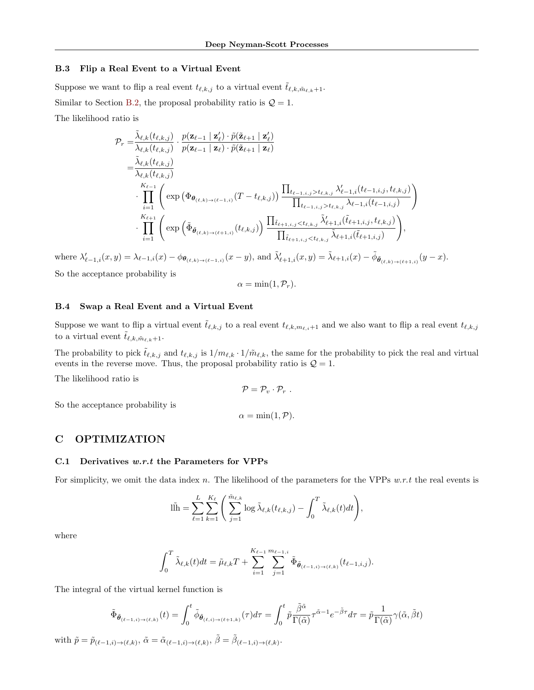#### B.3 Flip a Real Event to a Virtual Event

Suppose we want to flip a real event  $t_{\ell,k,j}$  to a virtual event  $\tilde{t}_{\ell,k,\tilde{m}_{\ell,k}+1}$ . Similar to Section [B.2,](#page-12-0) the proposal probability ratio is  $\mathcal{Q} = 1$ . The likelihood ratio is

$$
\mathcal{P}_{r} = \frac{\tilde{\lambda}_{\ell,k}(t_{\ell,k,j})}{\lambda_{\ell,k}(t_{\ell,k,j})} \cdot \frac{p(\mathbf{z}_{\ell-1} | \mathbf{z}_{\ell}) \cdot \tilde{p}(\tilde{\mathbf{z}}_{\ell+1} | \mathbf{z}_{\ell})}{p(\mathbf{z}_{\ell-1} | \mathbf{z}_{\ell}) \cdot \tilde{p}(\tilde{\mathbf{z}}_{\ell+1} | \mathbf{z}_{\ell})} \n= \frac{\tilde{\lambda}_{\ell,k}(t_{\ell,k,j})}{\lambda_{\ell,k}(t_{\ell,k,j})} \cdot \prod_{i=1}^{K_{\ell-1}} \left( \exp\left(\Phi_{\theta_{(\ell,k)\to(\ell-1,i)}}(T - t_{\ell,k,j})\right) \frac{\prod_{t_{\ell-1,i,j} > t_{\ell,k,j}} \lambda'_{\ell-1,i}(t_{\ell-1,i,j}, t_{\ell,k,j})}{\prod_{t_{\ell-1,i,j} > t_{\ell,k,j}} \lambda_{\ell-1,i}(t_{\ell-1,i,j})} \right) \n\cdot \prod_{i=1}^{K_{\ell+1}} \left( \exp\left(\tilde{\Phi}_{\tilde{\theta}_{(\ell,k)\to(\ell+1,i)}}(t_{\ell,k,j})\right) \frac{\prod_{\tilde{t}_{\ell+1,i,j} < t_{\ell,k,j}} \tilde{\lambda}'_{\ell+1,i}(\tilde{t}_{\ell+1,i,j}, t_{\ell,k,j})}{\prod_{\tilde{t}_{\ell+1,i,j} < t_{\ell,k,j}} \tilde{\lambda}'_{\ell+1,i}(\tilde{t}_{\ell+1,i,j})} \right),
$$

where  $\lambda'_{\ell-1,i}(x,y) = \lambda_{\ell-1,i}(x) - \phi_{\theta_{(\ell,k)\to(\ell-1,i)}}(x-y)$ , and  $\tilde{\lambda}'_{\ell+1,i}(x,y) = \tilde{\lambda}_{\ell+1,i}(x) - \tilde{\phi}_{\tilde{\theta}_{(\ell,k)\to(\ell+1,i)}}(y-x)$ .

So the acceptance probability is

$$
\alpha = \min(1, \mathcal{P}_r).
$$

### B.4 Swap a Real Event and a Virtual Event

Suppose we want to flip a virtual event  $\tilde{t}_{\ell,k,j}$  to a real event  $t_{\ell,k,m_{\ell,i}+1}$  and we also want to flip a real event  $t_{\ell,k,j}$ to a virtual event  $\tilde{t}_{\ell,k,\tilde{m}_{\ell,k}+1}$ .

The probability to pick  $\tilde{t}_{\ell,k,j}$  and  $t_{\ell,k,j}$  is  $1/m_{\ell,k} \cdot 1/\tilde{m}_{\ell,k}$ , the same for the probability to pick the real and virtual events in the reverse move. Thus, the proposal probability ratio is  $\mathcal{Q} = 1$ .

The likelihood ratio is

So the acceptance probability is

 $\alpha = \min(1, \mathcal{P}).$ 

 $\mathcal{P} = \mathcal{P}_v \cdot \mathcal{P}_r$ .

### C OPTIMIZATION

#### <span id="page-13-0"></span>C.1 Derivatives  $w.r.t$  the Parameters for VPPs

For simplicity, we omit the data index n. The likelihood of the parameters for the VPPs  $w.r.t$  the real events is

$$
\|\tilde{\mathbf{h}} = \sum_{\ell=1}^{L} \sum_{k=1}^{K_{\ell}} \left( \sum_{j=1}^{\tilde{m}_{\ell,k}} \log \tilde{\lambda}_{\ell,k}(t_{\ell,k,j}) - \int_{0}^{T} \tilde{\lambda}_{\ell,k}(t)dt \right),
$$

where

$$
\int_0^T \tilde{\lambda}_{\ell,k}(t)dt = \tilde{\mu}_{\ell,k}T + \sum_{i=1}^{K_{\ell-1}} \sum_{j=1}^{m_{\ell-1,i}} \tilde{\Phi}_{\tilde{\theta}_{(\ell-1,i)\to(\ell,k)}}(t_{\ell-1,i,j}).
$$

The integral of the virtual kernel function is

$$
\tilde{\Phi}_{\tilde{\boldsymbol{\theta}}_{(\ell-1,i)\to(\ell,k)}}(t) = \int_0^t \tilde{\phi}_{\tilde{\boldsymbol{\theta}}_{(\ell,i)\to(\ell+1,k)}}(\tau) d\tau = \int_0^t \tilde{p} \frac{\tilde{\beta}^{\tilde{\alpha}}}{\Gamma(\tilde{\alpha})} \tau^{\tilde{\alpha}-1} e^{-\tilde{\beta}\tau} d\tau = \tilde{p} \frac{1}{\Gamma(\tilde{\alpha})} \gamma(\tilde{\alpha}, \tilde{\beta}t)
$$

with  $\tilde{p} = \tilde{p}_{(\ell-1,i) \to (\ell,k)}, \, \tilde{\alpha} = \tilde{\alpha}_{(\ell-1,i) \to (\ell,k)}, \, \tilde{\beta} = \tilde{\beta}_{(\ell-1,i) \to (\ell,k)}.$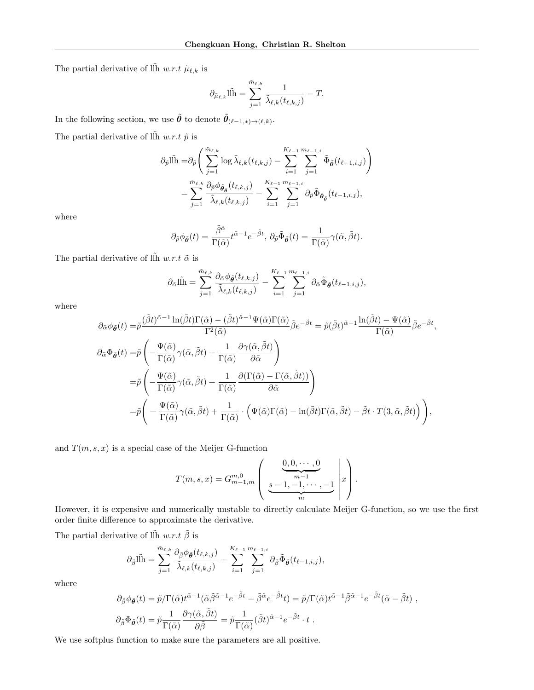The partial derivative of ll̆h  $w.r.t$   $\tilde{\mu}_{\ell,k}$  is

$$
\partial_{\tilde{\mu}_{\ell,k}} \tilde{\ln} = \sum_{j=1}^{\tilde{m}_{\ell,k}} \frac{1}{\tilde{\lambda}_{\ell,k}(t_{\ell,k,j})} - T.
$$

In the following section, we use  $\tilde{\theta}$  to denote  $\tilde{\theta}_{(\ell-1,*)\to(\ell,k)}$ . The partial derivative of  $\tilde{\text{lh}}$  w.r.t  $\tilde{p}$  is

$$
\partial_{\tilde{p}} \tilde{\text{ln}} = \partial_{\tilde{p}} \Bigg( \sum_{j=1}^{\tilde{m}_{\ell,k}} \log \tilde{\lambda}_{\ell,k}(t_{\ell,k,j}) - \sum_{i=1}^{K_{\ell-1}} \sum_{j=1}^{m_{\ell-1,i}} \tilde{\Phi}_{\tilde{\theta}}(t_{\ell-1,i,j}) \Bigg) \n= \sum_{j=1}^{\tilde{m}_{\ell,k}} \frac{\partial_{\tilde{p}} \phi_{\tilde{\theta}_{\tilde{\theta}}}(t_{\ell,k,j})}{\tilde{\lambda}_{\ell,k}(t_{\ell,k,j})} - \sum_{i=1}^{K_{\ell-1}} \sum_{j=1}^{m_{\ell-1,i}} \partial_{\tilde{p}} \tilde{\Phi}_{\tilde{\theta}_{\tilde{\theta}}}(t_{\ell-1,i,j}),
$$

where

$$
\partial_{\tilde{p}} \phi_{\tilde{\theta}}(t) = \frac{\tilde{\beta}^{\tilde{\alpha}}}{\Gamma(\tilde{\alpha})} t^{\tilde{\alpha}-1} e^{-\tilde{\beta} t}, \, \partial_{\tilde{p}} \tilde{\Phi}_{\tilde{\theta}}(t) = \frac{1}{\Gamma(\tilde{\alpha})} \gamma(\tilde{\alpha}, \tilde{\beta} t).
$$

The partial derivative of  $\tilde{\text{lh}}$  w.r.t  $\tilde{\alpha}$  is

$$
\partial_{\tilde{\alpha}}\tilde{\ln} = \sum_{j=1}^{\tilde{m}_{\ell,k}} \frac{\partial_{\tilde{\alpha}}\phi_{\tilde{\theta}}(t_{\ell,k,j})}{\tilde{\lambda}_{\ell,k}(t_{\ell,k,j})} - \sum_{i=1}^{K_{\ell-1}} \sum_{j=1}^{m_{\ell-1,i}} \partial_{\tilde{\alpha}}\tilde{\Phi}_{\tilde{\theta}}(t_{\ell-1,i,j}),
$$

where

$$
\partial_{\tilde{\alpha}}\phi_{\tilde{\theta}}(t) = \tilde{p}\frac{(\tilde{\beta}t)^{\tilde{\alpha}-1}\ln(\tilde{\beta}t)\Gamma(\tilde{\alpha}) - (\tilde{\beta}t)^{\tilde{\alpha}-1}\Psi(\tilde{\alpha})\Gamma(\tilde{\alpha})}{\Gamma^{2}(\tilde{\alpha})}\tilde{\beta}e^{-\tilde{\beta}t} = \tilde{p}(\tilde{\beta}t)^{\tilde{\alpha}-1}\frac{\ln(\tilde{\beta}t) - \Psi(\tilde{\alpha})}{\Gamma(\tilde{\alpha})}\tilde{\beta}e^{-\tilde{\beta}t},
$$
  

$$
\partial_{\tilde{\alpha}}\Phi_{\tilde{\theta}}(t) = \tilde{p}\left(-\frac{\Psi(\tilde{\alpha})}{\Gamma(\tilde{\alpha})}\gamma(\tilde{\alpha},\tilde{\beta}t) + \frac{1}{\Gamma(\tilde{\alpha})}\frac{\partial\gamma(\tilde{\alpha},\tilde{\beta}t)}{\partial\tilde{\alpha}}\right)
$$
  

$$
= \tilde{p}\left(-\frac{\Psi(\tilde{\alpha})}{\Gamma(\tilde{\alpha})}\gamma(\tilde{\alpha},\tilde{\beta}t) + \frac{1}{\Gamma(\tilde{\alpha})}\frac{\partial(\Gamma(\tilde{\alpha}) - \Gamma(\tilde{\alpha},\tilde{\beta}t))}{\partial\tilde{\alpha}}\right)
$$
  

$$
= \tilde{p}\left(-\frac{\Psi(\tilde{\alpha})}{\Gamma(\tilde{\alpha})}\gamma(\tilde{\alpha},\tilde{\beta}t) + \frac{1}{\Gamma(\tilde{\alpha})}\cdot\left(\Psi(\tilde{\alpha})\Gamma(\tilde{\alpha}) - \ln(\tilde{\beta}t)\Gamma(\tilde{\alpha},\tilde{\beta}t) - \tilde{\beta}t\cdot T(3,\tilde{\alpha},\tilde{\beta}t)\right)\right),
$$

and  $T(m, s, x)$  is a special case of the Meijer G-function

$$
T(m, s, x) = G_{m-1,m}^{m,0} \left( \underbrace{\underbrace{0,0,\cdots,0}_{m-1}}_{m}, \underbrace{-1,-1,\cdots,-1}_{m} \middle| x \right).
$$

However, it is expensive and numerically unstable to directly calculate Meijer G-function, so we use the first order finite difference to approximate the derivative.

The partial derivative of ll̄h  $w.r.t$   $\tilde{\beta}$  is

$$
\partial_{\tilde{\beta}}\tilde{\ln} = \sum_{j=1}^{\tilde{m}_{\ell,k}} \frac{\partial_{\tilde{\beta}}\phi_{\tilde{\theta}}(t_{\ell,k,j})}{\tilde{\lambda}_{\ell,k}(t_{\ell,k,j})} - \sum_{i=1}^{K_{\ell-1}} \sum_{j=1}^{m_{\ell-1,i}} \partial_{\tilde{\beta}}\tilde{\Phi}_{\tilde{\theta}}(t_{\ell-1,i,j}),
$$

where

$$
\partial_{\tilde{\beta}} \phi_{\tilde{\theta}}(t) = \tilde{p}/\Gamma(\tilde{\alpha}) t^{\tilde{\alpha}-1} (\tilde{\alpha} \tilde{\beta}^{\tilde{\alpha}-1} e^{-\tilde{\beta}t} - \tilde{\beta}^{\tilde{\alpha}} e^{-\tilde{\beta}t} t) = \tilde{p}/\Gamma(\tilde{\alpha}) t^{\tilde{\alpha}-1} \tilde{\beta}^{\tilde{\alpha}-1} e^{-\tilde{\beta}t} (\tilde{\alpha} - \tilde{\beta}t) ,
$$
  

$$
\partial_{\tilde{\beta}} \Phi_{\tilde{\theta}}(t) = \tilde{p} \frac{1}{\Gamma(\tilde{\alpha})} \frac{\partial \gamma(\tilde{\alpha}, \tilde{\beta}t)}{\partial \tilde{\beta}} = \tilde{p} \frac{1}{\Gamma(\tilde{\alpha})} (\tilde{\beta}t)^{\tilde{\alpha}-1} e^{-\tilde{\beta}t} \cdot t .
$$

We use softplus function to make sure the parameters are all positive.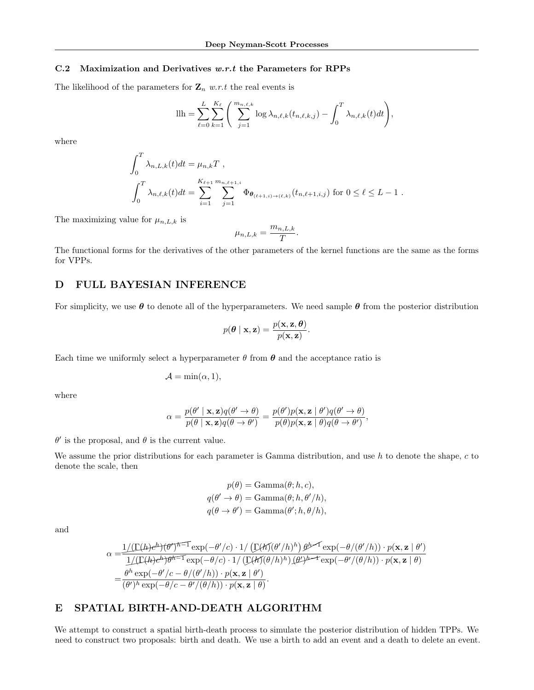### <span id="page-15-2"></span>C.2 Maximization and Derivatives w.r.t the Parameters for RPPs

The likelihood of the parameters for  $\mathbf{Z}_n$  w.r.t the real events is

$$
\text{llh} = \sum_{\ell=0}^{L} \sum_{k=1}^{K_{\ell}} \left( \sum_{j=1}^{m_{n,\ell,k}} \log \lambda_{n,\ell,k}(t_{n,\ell,k,j}) - \int_{0}^{T} \lambda_{n,\ell,k}(t)dt \right),
$$

where

$$
\int_0^T \lambda_{n,L,k}(t)dt = \mu_{n,k}T,
$$
  

$$
\int_0^T \lambda_{n,\ell,k}(t)dt = \sum_{i=1}^{K_{\ell+1}} \sum_{j=1}^{m_{n,\ell+1,i}} \Phi_{\theta_{(\ell+1,i)\to(\ell,k)}}(t_{n,\ell+1,i,j}) \text{ for } 0 \le \ell \le L-1.
$$

The maximizing value for  $\mu_{n,L,k}$  is

$$
\mu_{n,L,k} = \frac{m_{n,L,k}}{T}.
$$

The functional forms for the derivatives of the other parameters of the kernel functions are the same as the forms for VPPs.

### <span id="page-15-0"></span>D FULL BAYESIAN INFERENCE

For simplicity, we use  $\theta$  to denote all of the hyperparameters. We need sample  $\theta$  from the posterior distribution

$$
p(\boldsymbol{\theta} \mid \mathbf{x}, \mathbf{z}) = \frac{p(\mathbf{x}, \mathbf{z}, \boldsymbol{\theta})}{p(\mathbf{x}, \mathbf{z})}.
$$

Each time we uniformly select a hyperparameter  $\theta$  from  $\theta$  and the acceptance ratio is

$$
\mathcal{A} = \min(\alpha, 1),
$$

where

$$
\alpha = \frac{p(\theta' \mid \mathbf{x}, \mathbf{z})q(\theta' \to \theta)}{p(\theta \mid \mathbf{x}, \mathbf{z})q(\theta \to \theta')} = \frac{p(\theta')p(\mathbf{x}, \mathbf{z} \mid \theta')q(\theta' \to \theta)}{p(\theta)p(\mathbf{x}, \mathbf{z} \mid \theta)q(\theta \to \theta')},
$$

 $\theta'$  is the proposal, and  $\theta$  is the current value.

We assume the prior distributions for each parameter is Gamma distribution, and use  $h$  to denote the shape,  $c$  to denote the scale, then

$$
p(\theta) = \text{Gamma}(\theta; h, c),
$$
  
\n
$$
q(\theta' \to \theta) = \text{Gamma}(\theta; h, \theta'/h),
$$
  
\n
$$
q(\theta \to \theta') = \text{Gamma}(\theta'; h, \theta/h),
$$

and

$$
\alpha = \frac{1/(\Gamma(h)e^{h})(\theta')^{\hbar-1} \exp(-\theta'/c) \cdot 1/(\Gamma(h)(\theta'/h)^{h}) \theta^{h-1} \exp(-\theta/(\theta'/h)) \cdot p(\mathbf{x}, \mathbf{z} \mid \theta')}{1/(\Gamma(h)e^{h})\theta^{h-1} \exp(-\theta/c) \cdot 1/(\Gamma(h)(\theta/h)^{h}) \cdot (\theta')^{h-1} \exp(-\theta'/((\theta/h)) \cdot p(\mathbf{x}, \mathbf{z} \mid \theta))}
$$
  
= 
$$
\frac{\theta^{h} \exp(-\theta'/c - \theta/(\theta'/h)) \cdot p(\mathbf{x}, \mathbf{z} \mid \theta')}{(\theta')^{h} \exp(-\theta/c - \theta'/(\theta/h)) \cdot p(\mathbf{x}, \mathbf{z} \mid \theta)}.
$$

### <span id="page-15-1"></span>E SPATIAL BIRTH-AND-DEATH ALGORITHM

We attempt to construct a spatial birth-death process to simulate the posterior distribution of hidden TPPs. We need to construct two proposals: birth and death. We use a birth to add an event and a death to delete an event.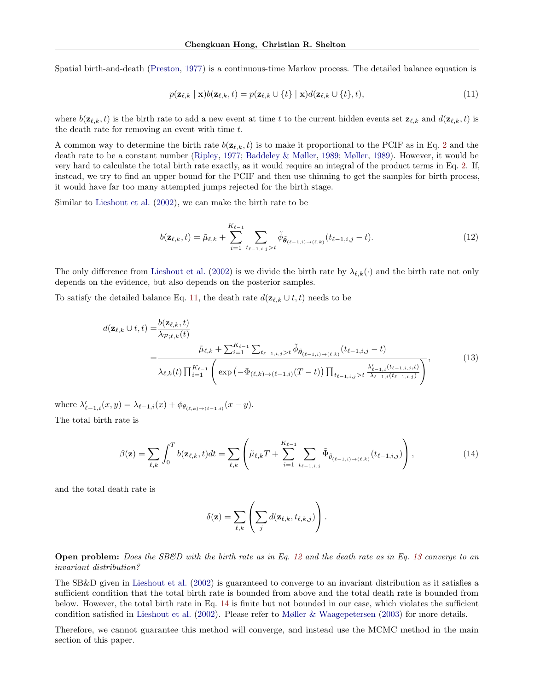Spatial birth-and-death [\(Preston,](#page-10-20) [1977\)](#page-10-20) is a continuous-time Markov process. The detailed balance equation is

<span id="page-16-0"></span>
$$
p(\mathbf{z}_{\ell,k} \mid \mathbf{x})b(\mathbf{z}_{\ell,k},t) = p(\mathbf{z}_{\ell,k} \cup \{t\} \mid \mathbf{x})d(\mathbf{z}_{\ell,k} \cup \{t\},t),
$$
\n(11)

where  $b(\mathbf{z}_{\ell,k},t)$  is the birth rate to add a new event at time t to the current hidden events set  $\mathbf{z}_{\ell,k}$  and  $d(\mathbf{z}_{\ell,k},t)$  is the death rate for removing an event with time  $t$ .

A common way to determine the birth rate  $b(\mathbf{z}_{\ell,k}, t)$  is to make it proportional to the PCIF as in Eq. [2](#page-3-4) and the death rate to be a constant number [\(Ripley,](#page-10-3) [1977;](#page-10-3) [Baddeley & Møller,](#page-8-4) [1989;](#page-8-4) [Møller,](#page-9-23) [1989\)](#page-9-23). However, it would be very hard to calculate the total birth rate exactly, as it would require an integral of the product terms in Eq. [2.](#page-3-4) If, instead, we try to find an upper bound for the PCIF and then use thinning to get the samples for birth process, it would have far too many attempted jumps rejected for the birth stage.

Similar to [Lieshout et al.](#page-9-24) [\(2002\)](#page-9-24), we can make the birth rate to be

<span id="page-16-1"></span>
$$
b(\mathbf{z}_{\ell,k},t) = \tilde{\mu}_{\ell,k} + \sum_{i=1}^{K_{\ell-1}} \sum_{t_{\ell-1,i,j} > t} \tilde{\phi}_{\tilde{\boldsymbol{\theta}}_{(\ell-1,i)\to(\ell,k)}}(t_{\ell-1,i,j}-t). \tag{12}
$$

The only difference from [Lieshout et al.](#page-9-24) [\(2002\)](#page-9-24) is we divide the birth rate by  $\lambda_{\ell,k}(\cdot)$  and the birth rate not only depends on the evidence, but also depends on the posterior samples.

To satisfy the detailed balance Eq. [11,](#page-16-0) the death rate  $d(\mathbf{z}_{\ell,k} \cup t, t)$  needs to be

$$
d(\mathbf{z}_{\ell,k} \cup t, t) = \frac{b(\mathbf{z}_{\ell,k}, t)}{\lambda_{\mathcal{P};\ell,k}(t)} \\
= \frac{\tilde{\mu}_{\ell,k} + \sum_{i=1}^{K_{\ell-1}} \sum_{t_{\ell-1,i,j} > t} \tilde{\phi}_{\tilde{\theta}_{(\ell-1,i)\to(\ell,k)}}(t_{\ell-1,i,j} - t)}{\lambda_{\ell,k}(t) \prod_{i=1}^{K_{\ell-1}} \left( \exp\left(-\Phi_{(\ell,k)\to(\ell-1,i)}(T-t)\right) \prod_{t_{\ell-1,i,j} > t} \frac{\lambda'_{\ell-1,i}(t_{\ell-1,i,j},t)}{\lambda_{\ell-1,i}(t_{\ell-1,i,j})} \right)},
$$
(13)

where  $\lambda'_{\ell-1,i}(x,y) = \lambda_{\ell-1,i}(x) + \phi_{\theta_{(\ell,k)\to(\ell-1,i)}}(x-y).$ 

The total birth rate is

<span id="page-16-3"></span>
$$
\beta(\mathbf{z}) = \sum_{\ell,k} \int_0^T b(\mathbf{z}_{\ell,k},t)dt = \sum_{\ell,k} \left( \tilde{\mu}_{\ell,k}T + \sum_{i=1}^{K_{\ell-1}} \sum_{t_{\ell-1,i,j}} \tilde{\Phi}_{\tilde{\theta}_{(\ell-1,i)\to(\ell,k)}}(t_{\ell-1,i,j}) \right), \tag{14}
$$

and the total death rate is

<span id="page-16-2"></span>
$$
\delta(\mathbf{z}) = \sum_{\ell,k} \left( \sum_j d(\mathbf{z}_{\ell,k}, t_{\ell,k,j}) \right).
$$

**Open problem:** Does the SB&D with the birth rate as in Eq. [12](#page-16-1) and the death rate as in Eq. [13](#page-16-2) converge to an invariant distribution?

The SB&D given in [Lieshout et al.](#page-9-24) [\(2002\)](#page-9-24) is guaranteed to converge to an invariant distribution as it satisfies a sufficient condition that the total birth rate is bounded from above and the total death rate is bounded from below. However, the total birth rate in Eq. [14](#page-16-3) is finite but not bounded in our case, which violates the sufficient condition satisfied in [Lieshout et al.](#page-9-24) [\(2002\)](#page-9-24). Please refer to [Møller & Waagepetersen](#page-9-2) [\(2003\)](#page-9-2) for more details.

Therefore, we cannot guarantee this method will converge, and instead use the MCMC method in the main section of this paper.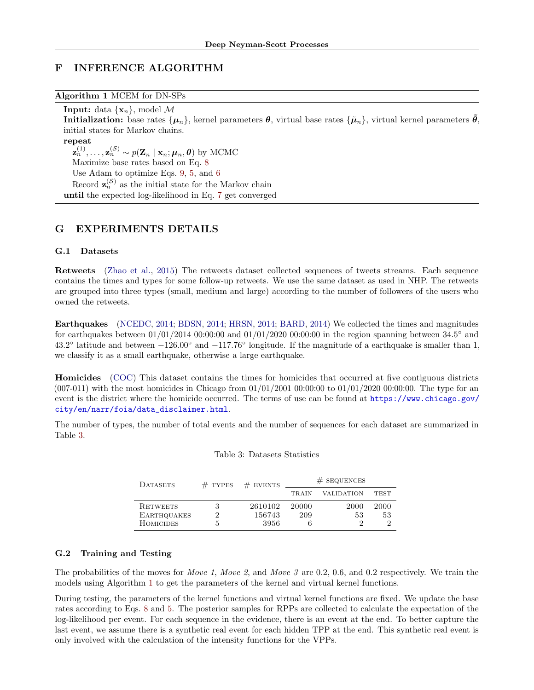# <span id="page-17-0"></span>F INFERENCE ALGORITHM

<span id="page-17-4"></span>Algorithm 1 MCEM for DN-SPs

**Input:** data  $\{x_n\}$ , model M Initialization: base rates  $\{\mu_n\}$ , kernel parameters  $\theta$ , virtual base rates  $\{\tilde{\mu}_n\}$ , virtual kernel parameters  $\tilde{\theta}$ , initial states for Markov chains. repeat  $\mathbf{z}_n^{(1)}, \ldots, \mathbf{z}_n^{(\mathcal{S})} \sim p(\mathbf{Z}_n \mid \mathbf{x}_n; \boldsymbol{\mu}_n, \boldsymbol{\theta})$  by MCMC Maximize base rates based on Eq. [8](#page-5-1) Use Adam to optimize Eqs. [9,](#page-5-2) [5,](#page-5-4) and [6](#page-5-5) Record  $\mathbf{z}_n^{(\mathcal{S})}$  as the initial state for the Markov chain until the expected log-likelihood in Eq. [7](#page-5-3) get converged

# <span id="page-17-1"></span>G EXPERIMENTS DETAILS

### <span id="page-17-2"></span>G.1 Datasets

Retweets [\(Zhao et al.,](#page-10-21) [2015\)](#page-10-21) The retweets dataset collected sequences of tweets streams. Each sequence contains the times and types for some follow-up retweets. We use the same dataset as used in NHP. The retweets are grouped into three types (small, medium and large) according to the number of followers of the users who owned the retweets.

Earthquakes [\(NCEDC,](#page-9-25) [2014;](#page-9-25) [BDSN,](#page-8-14) [2014;](#page-8-14) [HRSN,](#page-9-26) [2014;](#page-9-26) [BARD,](#page-8-15) [2014\)](#page-8-15) We collected the times and magnitudes for earthquakes between  $01/01/2014$   $00:00:00$  and  $01/01/2020$   $00:00:00$  in the region spanning between  $34.5^{\circ}$  and 43.2° latitude and between  $-126.00°$  and  $-117.76°$  longitude. If the magnitude of a earthquake is smaller than 1, we classify it as a small earthquake, otherwise a large earthquake.

Homicides [\(COC\)](#page-8-16) This dataset contains the times for homicides that occurred at five contiguous districts  $(007-011)$  with the most homicides in Chicago from  $01/01/2001 00:00:00$  to  $01/01/2020 00:00:00$ . The type for an event is the district where the homicide occurred. The terms of use can be found at [https://www.chicago.gov/](https://www.chicago.gov/city/en/narr/foia/data_disclaimer.html) [city/en/narr/foia/data\\_disclaimer.html](https://www.chicago.gov/city/en/narr/foia/data_disclaimer.html).

<span id="page-17-3"></span>The number of types, the number of total events and the number of sequences for each dataset are summarized in Table [3.](#page-17-3)

| <b>DATASETS</b>    | $#$ TYPES | $#$ EVENTS | $#$ SEQUENCES |                   |             |
|--------------------|-----------|------------|---------------|-------------------|-------------|
|                    |           |            | <b>TRAIN</b>  | <b>VALIDATION</b> | <b>TEST</b> |
| <b>RETWEETS</b>    |           | 2610102    | 20000         | 2000              | 2000        |
| <b>EARTHQUAKES</b> |           | 156743     | 209           | 53                | 53          |
| <b>HOMICIDES</b>   | .,        | 3956       |               |                   |             |

### G.2 Training and Testing

The probabilities of the moves for *Move 1, Move 2, and Move 3 are 0.2, 0.6, and 0.2 respectively.* We train the models using Algorithm [1](#page-17-4) to get the parameters of the kernel and virtual kernel functions.

During testing, the parameters of the kernel functions and virtual kernel functions are fixed. We update the base rates according to Eqs. [8](#page-5-1) and [5.](#page-5-4) The posterior samples for RPPs are collected to calculate the expectation of the log-likelihood per event. For each sequence in the evidence, there is an event at the end. To better capture the last event, we assume there is a synthetic real event for each hidden TPP at the end. This synthetic real event is only involved with the calculation of the intensity functions for the VPPs.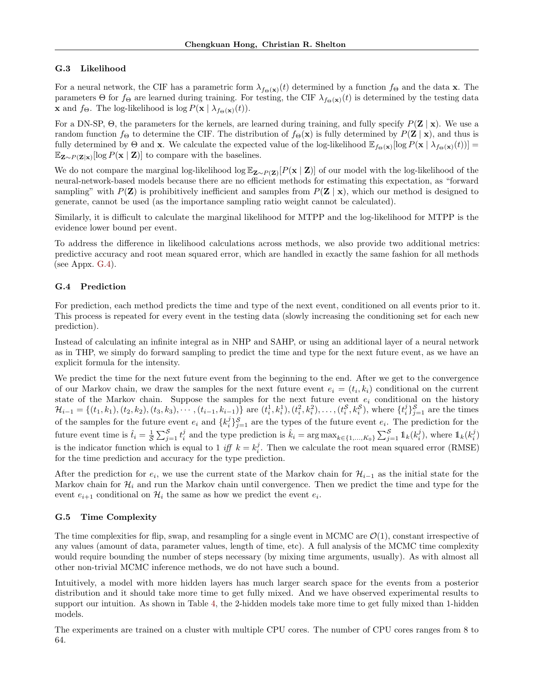### G.3 Likelihood

For a neural network, the CIF has a parametric form  $\lambda_{f\Theta(x)}(t)$  determined by a function  $f_{\Theta}$  and the data x. The parameters  $\Theta$  for  $f_{\Theta}$  are learned during training. For testing, the CIF  $\lambda_{f_{\Theta}(\mathbf{x})}(t)$  is determined by the testing data **x** and  $f_{\Theta}$ . The log-likelihood is log  $P(\mathbf{x} \mid \lambda_{f_{\Theta}(\mathbf{x})}(t)).$ 

For a DN-SP,  $\Theta$ , the parameters for the kernels, are learned during training, and fully specify  $P(Z | x)$ . We use a random function  $f_{\Theta}$  to determine the CIF. The distribution of  $f_{\Theta}(\mathbf{x})$  is fully determined by  $P(\mathbf{Z} | \mathbf{x})$ , and thus is fully determined by  $\Theta$  and **x**. We calculate the expected value of the log-likelihood  $\mathbb{E}_{f_{\Theta}(\mathbf{x})}[\log P(\mathbf{x} | \lambda_{f_{\Theta}(\mathbf{x})}(t))]$  $\mathbb{E}_{\mathbf{Z} \sim P(\mathbf{Z}|\mathbf{x})}[\log P(\mathbf{x} | \mathbf{Z})]$  to compare with the baselines.

We do not compare the marginal log-likelihood log  $\mathbb{E}_{\mathbf{Z} \sim P(\mathbf{Z})}[P(\mathbf{x} \mid \mathbf{Z})]$  of our model with the log-likelihood of the neural-network-based models because there are no efficient methods for estimating this expectation, as "forward sampling" with  $P(\mathbf{Z})$  is prohibitively inefficient and samples from  $P(\mathbf{Z} | \mathbf{x})$ , which our method is designed to generate, cannot be used (as the importance sampling ratio weight cannot be calculated).

Similarly, it is difficult to calculate the marginal likelihood for MTPP and the log-likelihood for MTPP is the evidence lower bound per event.

To address the difference in likelihood calculations across methods, we also provide two additional metrics: predictive accuracy and root mean squared error, which are handled in exactly the same fashion for all methods (see Appx.  $G.4$ ).

#### <span id="page-18-0"></span>G.4 Prediction

For prediction, each method predicts the time and type of the next event, conditioned on all events prior to it. This process is repeated for every event in the testing data (slowly increasing the conditioning set for each new prediction).

Instead of calculating an infinite integral as in NHP and SAHP, or using an additional layer of a neural network as in THP, we simply do forward sampling to predict the time and type for the next future event, as we have an explicit formula for the intensity.

We predict the time for the next future event from the beginning to the end. After we get to the convergence of our Markov chain, we draw the samples for the next future event  $e_i = (t_i, k_i)$  conditional on the current state of the Markov chain. Suppose the samples for the next future event  $e_i$  conditional on the history  $\mathcal{H}_{i-1} = \{(t_1, k_1), (t_2, k_2), (t_3, k_3), \cdots, (t_{i-1}, k_{i-1})\}$  are  $(t_i^1, k_i^1), (t_i^2, k_i^2), \ldots, (t_i^S, k_i^S)$ , where  $\{t_i^j\}_{j=1}^S$  are the times of the samples for the future event  $e_i$  and  $\{k_i^j\}_{j=1}^{\mathcal{S}}$  are the types of the future event  $e_i$ . The prediction for the future event time is  $\hat{t}_i = \frac{1}{s} \sum_{j=1}^s t_i^j$  and the type prediction is  $\hat{k}_i = \arg \max_{k \in \{1, ..., K_0\}} \sum_{j=1}^s \mathbb{1}_k(k_i^j)$ , where  $\mathbb{1}_k(k_i^j)$ is the indicator function which is equal to 1 iff  $k = k_i^j$ . Then we calculate the root mean squared error (RMSE) for the time prediction and accuracy for the type prediction.

After the prediction for  $e_i$ , we use the current state of the Markov chain for  $\mathcal{H}_{i-1}$  as the initial state for the Markov chain for  $\mathcal{H}_i$  and run the Markov chain until convergence. Then we predict the time and type for the event  $e_{i+1}$  conditional on  $\mathcal{H}_i$  the same as how we predict the event  $e_i$ .

### <span id="page-18-1"></span>G.5 Time Complexity

The time complexities for flip, swap, and resampling for a single event in MCMC are  $\mathcal{O}(1)$ , constant irrespective of any values (amount of data, parameter values, length of time, etc). A full analysis of the MCMC time complexity would require bounding the number of steps necessary (by mixing time arguments, usually). As with almost all other non-trivial MCMC inference methods, we do not have such a bound.

Intuitively, a model with more hidden layers has much larger search space for the events from a posterior distribution and it should take more time to get fully mixed. And we have observed experimental results to support our intuition. As shown in Table [4,](#page-19-0) the 2-hidden models take more time to get fully mixed than 1-hidden models.

The experiments are trained on a cluster with multiple CPU cores. The number of CPU cores ranges from 8 to 64.